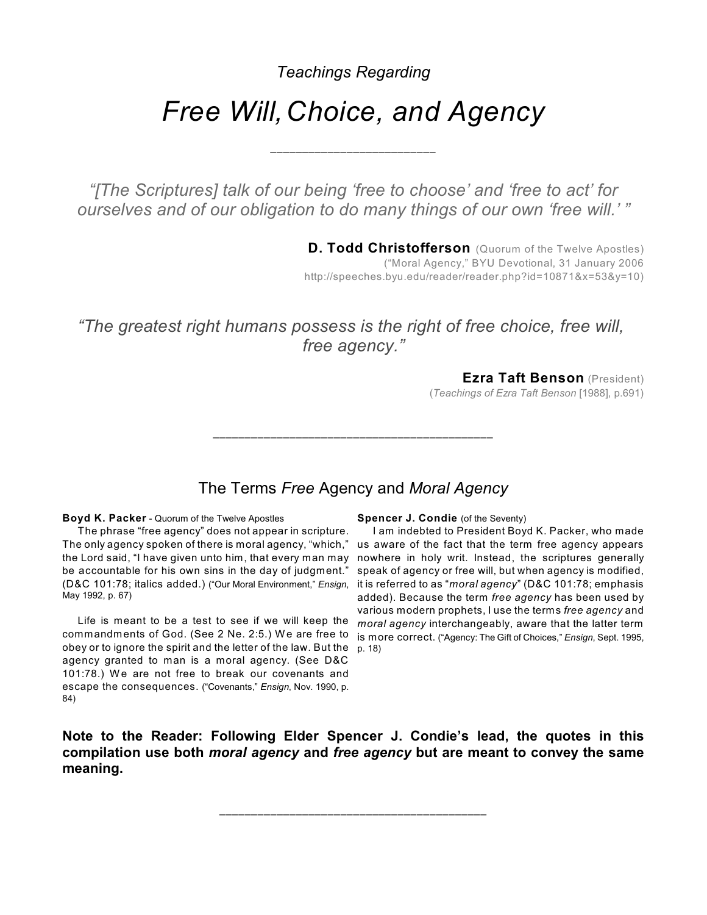*Teachings Regarding*

# *Free Will,Choice, and Agency*

\_\_\_\_\_\_\_\_\_\_\_\_\_\_\_\_\_\_\_\_\_\_\_\_\_\_

*"[The Scriptures] talk of our being 'free to choose' and 'free to act' for ourselves and of our obligation to do many things of our own 'free will.' "*

> **D. Todd Christofferson** (Quorum of the Twelve Apostles) ("Moral Agency," BYU Devotional, 31 January 2006 http://speeches.byu.edu/reader/reader.php?id=10871&x=53&y=10)

*"The greatest right humans possess is the right of free choice, free will, free agency."*

> **Ezra Taft Benson** (President) (*Teachings of Ezra Taft Benson* [1988], p.691)

# The Terms *Free* Agency and *Moral Agency*

\_\_\_\_\_\_\_\_\_\_\_\_\_\_\_\_\_\_\_\_\_\_\_\_\_\_\_\_\_\_\_\_\_\_\_\_\_\_\_\_\_\_\_\_

**Boyd K. Packer** - Quorum of the Twelve Apostles

The phrase "free agency" does not appear in scripture. The only agency spoken of there is moral agency, "which," the Lord said, "I have given unto him, that every man may be accountable for his own sins in the day of judgment." (D&C 101:78; italics added.) ("Our Moral Environment," *Ensign*, May 1992, p. 67)

Life is meant to be a test to see if we will keep the commandments of God. (See 2 Ne. 2:5.) We are free to obey or to ignore the spirit and the letter of the law. But the agency granted to man is a moral agency. (See D&C 101:78.) We are not free to break our covenants and escape the consequences. ("Covenants," *Ensign*, Nov. 1990, p. 84)

#### **Spencer J. Condie** (of the Seventy)

I am indebted to President Boyd K. Packer, who made us aware of the fact that the term free agency appears nowhere in holy writ. Instead, the scriptures generally speak of agency or free will, but when agency is modified, it is referred to as "*moral agency*" (D&C 101:78; emphasis added). Because the term *free agency* has been used by various modern prophets, I use the terms *free agency* and *moral agency* interchangeably, aware that the latter term is more correct. ("Agency: The Gift of Choices," *Ensign*, Sept. 1995, p. 18)

**Note to the Reader: Following Elder Spencer J. Condie's lead, the quotes in this compilation use both** *moral agency* **and** *free agency* **but are meant to convey the same meaning.**

\_\_\_\_\_\_\_\_\_\_\_\_\_\_\_\_\_\_\_\_\_\_\_\_\_\_\_\_\_\_\_\_\_\_\_\_\_\_\_\_\_\_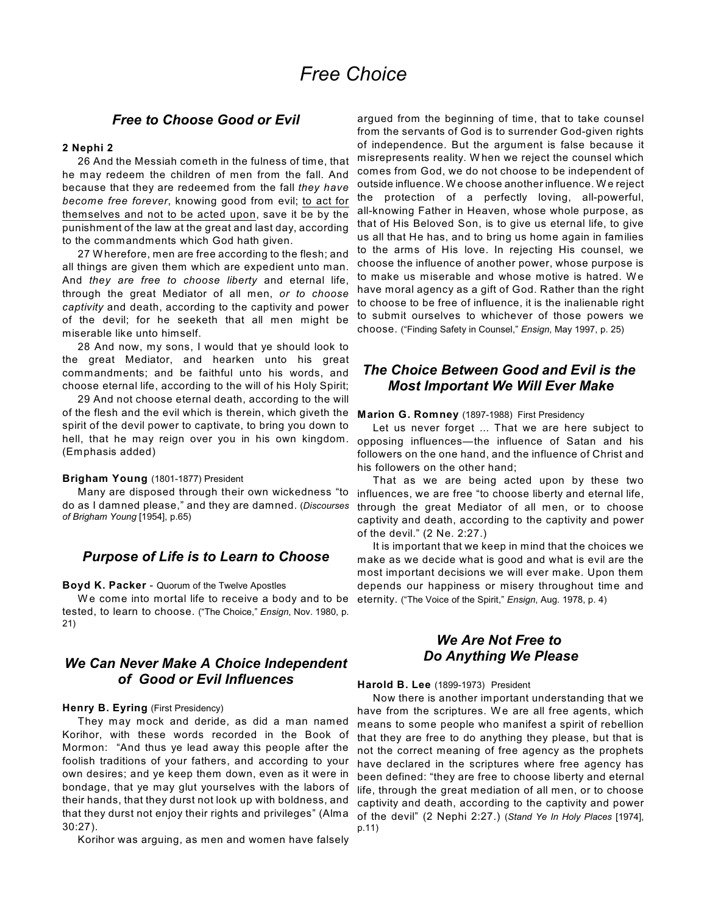# *Free to Choose Good or Evil*

### **2 Nephi 2**

26 And the Messiah cometh in the fulness of time, that he may redeem the children of men from the fall. And because that they are redeemed from the fall *they have become free forever*, knowing good from evil; to act for themselves and not to be acted upon, save it be by the punishment of the law at the great and last day, according to the commandments which God hath given.

27 Wherefore, men are free according to the flesh; and all things are given them which are expedient unto man. And *they are free to choose liberty* and eternal life, through the great Mediator of all men, *or to choose captivity* and death, according to the captivity and power of the devil; for he seeketh that all men might be miserable like unto himself.

28 And now, my sons, I would that ye should look to the great Mediator, and hearken unto his great commandments; and be faithful unto his words, and choose eternal life, according to the will of his Holy Spirit;

29 And not choose eternal death, according to the will of the flesh and the evil which is therein, which giveth the spirit of the devil power to captivate, to bring you down to hell, that he may reign over you in his own kingdom. (Emphasis added)

#### **Brigham Young** (1801-1877) President

Many are disposed through their own wickedness "to do as I damned please," and they are damned. (*Discourses of Brigham Young* [1954], p.65)

# *Purpose of Life is to Learn to Choose*

### **Boyd K. Packer** - Quorum of the Twelve Apostles

We come into mortal life to receive a body and to be tested, to learn to choose. ("The Choice," *Ensign*, Nov. 1980, p. 21)

# *We Can Never Make A Choice Independent of Good or Evil Influences*

### **Henry B. Eyring** (First Presidency)

They may mock and deride, as did a man named Korihor, with these words recorded in the Book of Mormon: "And thus ye lead away this people after the foolish traditions of your fathers, and according to your own desires; and ye keep them down, even as it were in bondage, that ye may glut yourselves with the labors of their hands, that they durst not look up with boldness, and that they durst not enjoy their rights and privileges" (Alma 30:27).

Korihor was arguing, as men and women have falsely

argued from the beginning of time, that to take counsel from the servants of God is to surrender God-given rights of independence. But the argument is false because it misrepresents reality. W hen we reject the counsel which comes from God, we do not choose to be independent of outside influence. W e choose another influence. W e reject the protection of a perfectly loving, all-powerful, all-knowing Father in Heaven, whose whole purpose, as that of His Beloved Son, is to give us eternal life, to give us all that He has, and to bring us home again in families to the arms of His love. In rejecting His counsel, we choose the influence of another power, whose purpose is to make us miserable and whose motive is hatred. We have moral agency as a gift of God. Rather than the right to choose to be free of influence, it is the inalienable right to submit ourselves to whichever of those powers we choose. ("Finding Safety in Counsel," *Ensign*, May 1997, p. 25)

# *The Choice Between Good and Evil is the Most Important We Will Ever Make*

### **Marion G. Romney** (1897-1988) First Presidency

Let us never forget ... That we are here subject to opposing influences—the influence of Satan and his followers on the one hand, and the influence of Christ and his followers on the other hand;

That as we are being acted upon by these two influences, we are free "to choose liberty and eternal life, through the great Mediator of all men, or to choose captivity and death, according to the captivity and power of the devil." (2 Ne. 2:27.)

It is important that we keep in mind that the choices we make as we decide what is good and what is evil are the most important decisions we will ever make. Upon them depends our happiness or misery throughout time and eternity. ("The Voice of the Spirit," *Ensign*, Aug. 1978, p. 4)

# *We Are Not Free to Do Anything We Please*

#### **Harold B. Lee** (1899-1973) President

Now there is another important understanding that we have from the scriptures. We are all free agents, which means to some people who manifest a spirit of rebellion that they are free to do anything they please, but that is not the correct meaning of free agency as the prophets have declared in the scriptures where free agency has been defined: "they are free to choose liberty and eternal life, through the great mediation of all men, or to choose captivity and death, according to the captivity and power of the devil" (2 Nephi 2:27.) (*Stand Ye In Holy Places* [1974], p.11)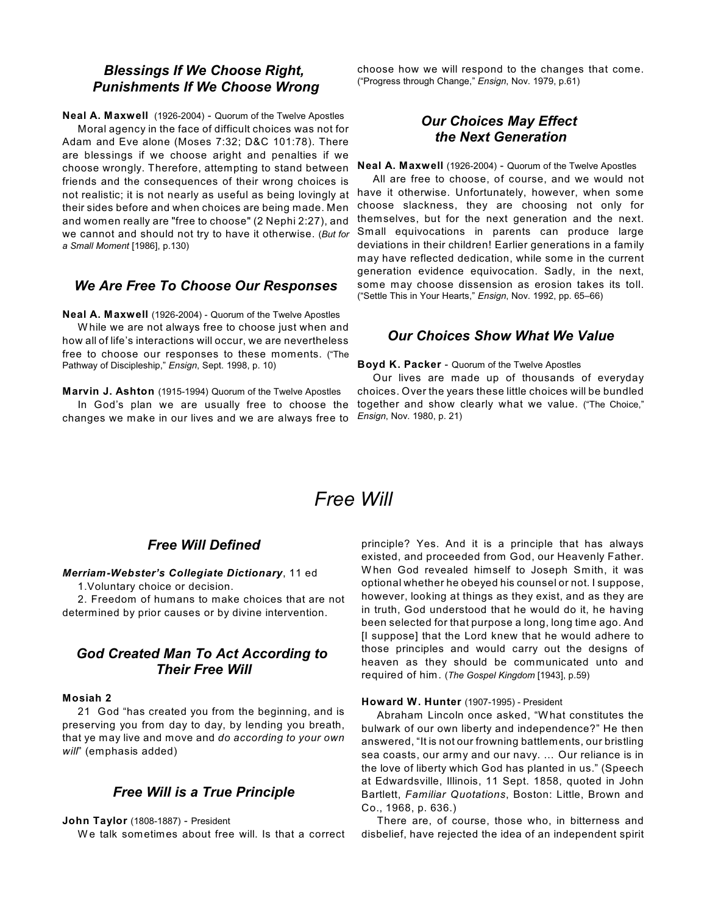# *Blessings If We Choose Right, Punishments If We Choose Wrong*

**Neal A. Maxwell** (1926-2004) - Quorum of the Twelve Apostles Moral agency in the face of difficult choices was not for Adam and Eve alone (Moses 7:32; D&C 101:78). There are blessings if we choose aright and penalties if we choose wrongly. Therefore, attempting to stand between friends and the consequences of their wrong choices is not realistic; it is not nearly as useful as being lovingly at their sides before and when choices are being made. Men and women really are "free to choose" (2 Nephi 2:27), and we cannot and should not try to have it otherwise. (*But for a Small Moment* [1986], p.130)

# *We Are Free To Choose Our Responses*

**Neal A. Maxwell** (1926-2004) - Quorum of the Twelve Apostles W hile we are not always free to choose just when and how all of life's interactions will occur, we are nevertheless free to choose our responses to these moments. ("The Pathway of Discipleship," *Ensign*, Sept. 1998, p. 10)

**Marvin J. Ashton** (1915-1994) Quorum of the Twelve Apostles In God's plan we are usually free to choose the changes we make in our lives and we are always free to

choose how we will respond to the changes that come. ("Progress through Change," *Ensign*, Nov. 1979, p.61)

# *Our Choices May Effect the Next Generation*

**Neal A. Maxwell** (1926-2004) - Quorum of the Twelve Apostles

All are free to choose, of course, and we would not have it otherwise. Unfortunately, however, when some choose slackness, they are choosing not only for themselves, but for the next generation and the next. Small equivocations in parents can produce large deviations in their children! Earlier generations in a family may have reflected dedication, while some in the current generation evidence equivocation. Sadly, in the next, some may choose dissension as erosion takes its toll. ("Settle This in Your Hearts," *Ensign*, Nov. 1992, pp. 65–66)

# *Our Choices Show What We Value*

**Boyd K. Packer** - Quorum of the Twelve Apostles

Our lives are made up of thousands of everyday choices. Over the years these little choices will be bundled together and show clearly what we value. ("The Choice," *Ensign*, Nov. 1980, p. 21)

# *Free Will*

# *Free Will Defined*

*Merriam-Webster's Collegiate Dictionary*, 11 ed 1.Voluntary choice or decision.

2. Freedom of humans to make choices that are not determined by prior causes or by divine intervention.

# *God Created Man To Act According to Their Free Will*

### **Mosiah 2**

21 God "has created you from the beginning, and is preserving you from day to day, by lending you breath, that ye may live and move and *do according to your own will*" (emphasis added)

# *Free Will is a True Principle*

#### **John Taylor** (1808-1887) - President

We talk sometimes about free will. Is that a correct

principle? Yes. And it is a principle that has always existed, and proceeded from God, our Heavenly Father. W hen God revealed himself to Joseph Smith, it was optional whether he obeyed his counsel or not. I suppose, however, looking at things as they exist, and as they are in truth, God understood that he would do it, he having been selected for that purpose a long, long time ago. And [I suppose] that the Lord knew that he would adhere to those principles and would carry out the designs of heaven as they should be communicated unto and required of him. (*The Gospel Kingdom* [1943], p.59)

### **Howard W. Hunter** (1907-1995) - President

Abraham Lincoln once asked, "W hat constitutes the bulwark of our own liberty and independence?" He then answered, "It is not our frowning battlements, our bristling sea coasts, our army and our navy. … Our reliance is in the love of liberty which God has planted in us." (Speech at Edwardsville, Illinois, 11 Sept. 1858, quoted in John Bartlett, *Familiar Quotations*, Boston: Little, Brown and Co., 1968, p. 636.)

There are, of course, those who, in bitterness and disbelief, have rejected the idea of an independent spirit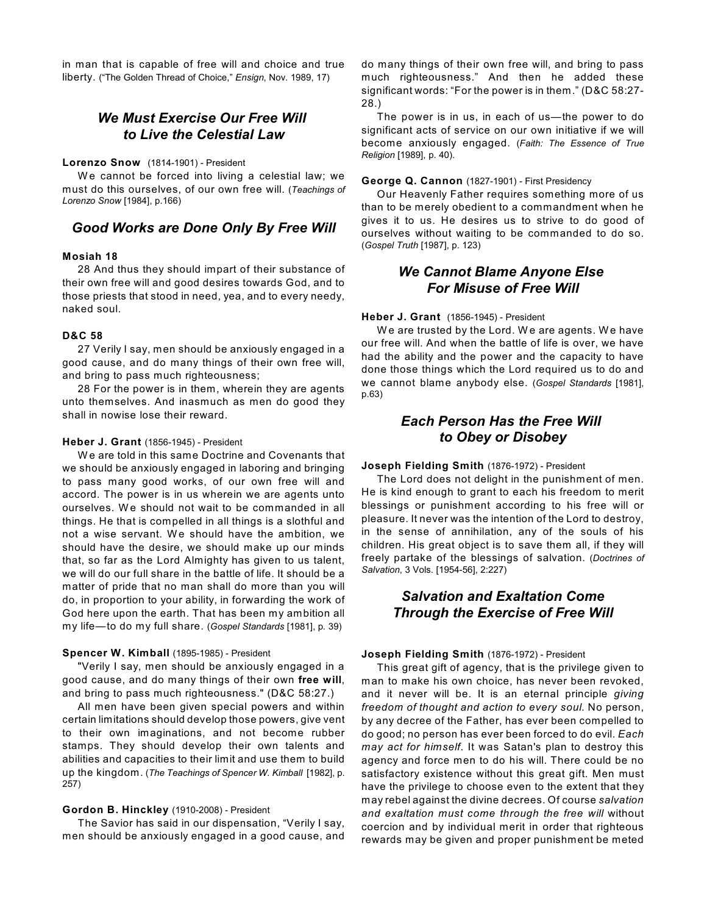in man that is capable of free will and choice and true liberty. ("The Golden Thread of Choice," *Ensign*, Nov. 1989, 17)

# *We Must Exercise Our Free Will to Live the Celestial Law*

#### **Lorenzo Snow** (1814-1901) - President

We cannot be forced into living a celestial law; we must do this ourselves, of our own free will. (*Teachings of Lorenzo Snow* [1984], p.166)

# *Good Works are Done Only By Free Will*

### **Mosiah 18**

28 And thus they should impart of their substance of their own free will and good desires towards God, and to those priests that stood in need, yea, and to every needy, naked soul.

### **D&C 58**

27 Verily I say, men should be anxiously engaged in a good cause, and do many things of their own free will, and bring to pass much righteousness;

28 For the power is in them, wherein they are agents unto themselves. And inasmuch as men do good they shall in nowise lose their reward.

#### **Heber J. Grant** (1856-1945) - President

W e are told in this same Doctrine and Covenants that we should be anxiously engaged in laboring and bringing to pass many good works, of our own free will and accord. The power is in us wherein we are agents unto ourselves. We should not wait to be commanded in all things. He that is compelled in all things is a slothful and not a wise servant. W e should have the ambition, we should have the desire, we should make up our minds that, so far as the Lord Almighty has given to us talent, we will do our full share in the battle of life. It should be a matter of pride that no man shall do more than you will do, in proportion to your ability, in forwarding the work of God here upon the earth. That has been my ambition all my life—to do my full share. (*Gospel Standards* [1981], p*.* 39)

#### **Spencer W. Kimball** (1895-1985) - President

"Verily I say, men should be anxiously engaged in a good cause, and do many things of their own **free will**, and bring to pass much righteousness." (D&C 58:27.)

All men have been given special powers and within certain limitations should develop those powers, give vent to their own imaginations, and not become rubber stamps. They should develop their own talents and abilities and capacities to their limit and use them to build up the kingdom. (*The Teachings of Spencer W. Kimball* [1982], p. 257)

#### **Gordon B. Hinckley** (1910-2008) - President

The Savior has said in our dispensation, "Verily I say, men should be anxiously engaged in a good cause, and do many things of their own free will, and bring to pass much righteousness." And then he added these significant words: "For the power is in them." (D&C 58:27- 28.)

The power is in us, in each of us—the power to do significant acts of service on our own initiative if we will become anxiously engaged. (*Faith: The Essence of True Religion* [1989], p. 40).

#### **George Q. Cannon** (1827-1901) - First Presidency

Our Heavenly Father requires something more of us than to be merely obedient to a commandment when he gives it to us. He desires us to strive to do good of ourselves without waiting to be commanded to do so. (*Gospel Truth* [1987], p. 123)

# *We Cannot Blame Anyone Else For Misuse of Free Will*

### **Heber J. Grant** (1856-1945) - President

We are trusted by the Lord. We are agents. We have our free will. And when the battle of life is over, we have had the ability and the power and the capacity to have done those things which the Lord required us to do and we cannot blame anybody else. (*Gospel Standards* [1981], p.63)

# *Each Person Has the Free Will to Obey or Disobey*

#### **Joseph Fielding Smith** (1876-1972) - President

The Lord does not delight in the punishment of men. He is kind enough to grant to each his freedom to merit blessings or punishment according to his free will or pleasure. It never was the intention of the Lord to destroy, in the sense of annihilation, any of the souls of his children. His great object is to save them all, if they will freely partake of the blessings of salvation. (*Doctrines of Salvation*, 3 Vols. [1954-56], 2:227)

# *Salvation and Exaltation Come Through the Exercise of Free Will*

### **Joseph Fielding Smith** (1876-1972) - President

This great gift of agency, that is the privilege given to man to make his own choice, has never been revoked, and it never will be. It is an eternal principle *giving freedom of thought and action to every soul*. No person, by any decree of the Father, has ever been compelled to do good; no person has ever been forced to do evil. *Each may act for himself*. It was Satan's plan to destroy this agency and force men to do his will. There could be no satisfactory existence without this great gift. Men must have the privilege to choose even to the extent that they may rebel against the divine decrees. Of course *salvation and exaltation must come through the free will* without coercion and by individual merit in order that righteous rewards may be given and proper punishment be meted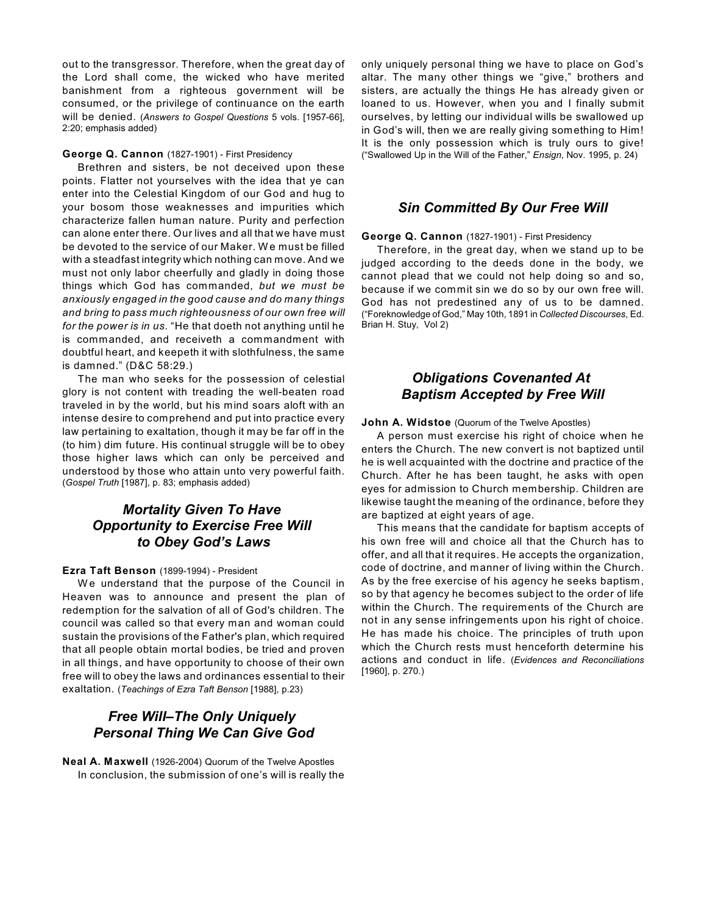out to the transgressor. Therefore, when the great day of the Lord shall come, the wicked who have merited banishment from a righteous government will be consumed, or the privilege of continuance on the earth will be denied. (*Answers to Gospel Questions* 5 vols. [1957-66], 2:20; emphasis added)

#### **George Q. Cannon** (1827-1901) - First Presidency

Brethren and sisters, be not deceived upon these points. Flatter not yourselves with the idea that ye can enter into the Celestial Kingdom of our God and hug to your bosom those weaknesses and impurities which characterize fallen human nature. Purity and perfection can alone enter there. Our lives and all that we have must be devoted to the service of our Maker. W e must be filled with a steadfast integrity which nothing can move. And we must not only labor cheerfully and gladly in doing those things which God has commanded, *but we must be anxiously engaged in the good cause and do many things and bring to pass much righteousness of our own free will for the power is in us.* "He that doeth not anything until he is commanded, and receiveth a commandment with doubtful heart, and keepeth it with slothfulness, the same is damned." (D&C 58:29.)

The man who seeks for the possession of celestial glory is not content with treading the well-beaten road traveled in by the world, but his mind soars aloft with an intense desire to comprehend and put into practice every law pertaining to exaltation, though it may be far off in the (to him) dim future. His continual struggle will be to obey those higher laws which can only be perceived and understood by those who attain unto very powerful faith. (*Gospel Truth* [1987], p. 83; emphasis added)

# *Mortality Given To Have Opportunity to Exercise Free Will to Obey God's Laws*

### **Ezra Taft Benson** (1899-1994) - President

We understand that the purpose of the Council in Heaven was to announce and present the plan of redemption for the salvation of all of God's children. The council was called so that every man and woman could sustain the provisions of the Father's plan, which required that all people obtain mortal bodies, be tried and proven in all things, and have opportunity to choose of their own free will to obey the laws and ordinances essential to their exaltation. (*Teachings of Ezra Taft Benson* [1988], p.23)

# *Free Will–The Only Uniquely Personal Thing We Can Give God*

**Neal A. Maxwell** (1926-2004) Quorum of the Twelve Apostles In conclusion, the submission of one's will is really the only uniquely personal thing we have to place on God's altar. The many other things we "give," brothers and sisters, are actually the things He has already given or loaned to us. However, when you and I finally submit ourselves, by letting our individual wills be swallowed up in God's will, then we are really giving something to Him! It is the only possession which is truly ours to give! ("Swallowed Up in the Will of the Father," *Ensign*, Nov. 1995, p. 24)

# *Sin Committed By Our Free Will*

#### **George Q. Cannon** (1827-1901) - First Presidency

Therefore, in the great day, when we stand up to be judged according to the deeds done in the body, we cannot plead that we could not help doing so and so, because if we commit sin we do so by our own free will. God has not predestined any of us to be damned. ("Foreknowledge of God," May 10th, 1891 in *Collected Discourses*, Ed. Brian H. Stuy, Vol 2)

# *Obligations Covenanted At Baptism Accepted by Free Will*

**John A. Widstoe** (Quorum of the Twelve Apostles)

A person must exercise his right of choice when he enters the Church. The new convert is not baptized until he is well acquainted with the doctrine and practice of the Church. After he has been taught, he asks with open eyes for admission to Church membership. Children are likewise taught the meaning of the ordinance, before they are baptized at eight years of age.

This means that the candidate for baptism accepts of his own free will and choice all that the Church has to offer, and all that it requires. He accepts the organization, code of doctrine, and manner of living within the Church. As by the free exercise of his agency he seeks baptism, so by that agency he becomes subject to the order of life within the Church. The requirements of the Church are not in any sense infringements upon his right of choice. He has made his choice. The principles of truth upon which the Church rests must henceforth determine his actions and conduct in life. (*Evidences and Reconciliations* [1960], p. 270.)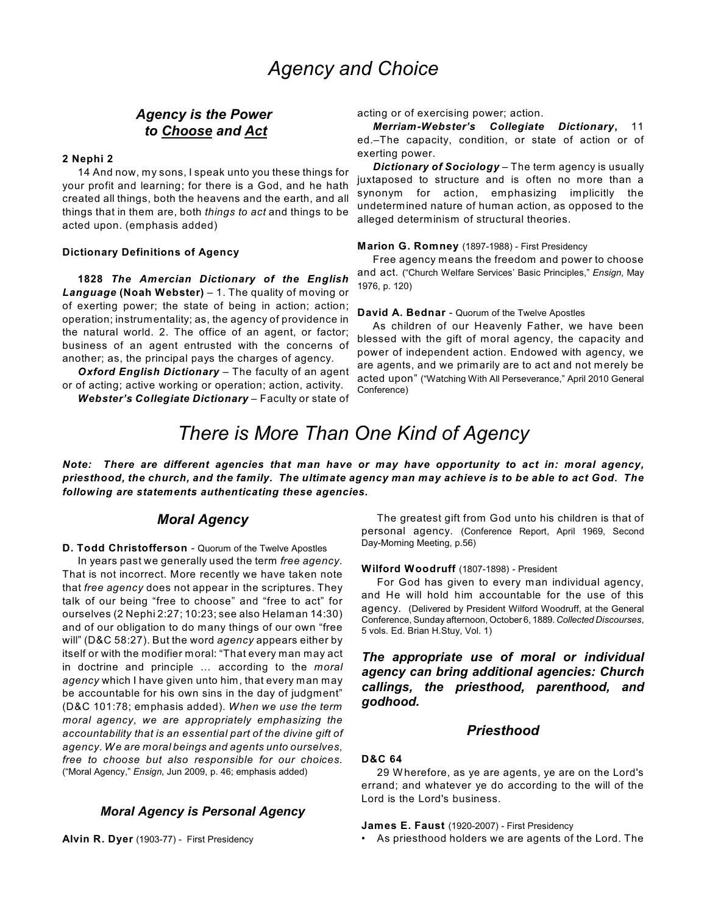# *Agency is the Power to Choose and Act*

# **2 Nephi 2**

14 And now, my sons, I speak unto you these things for your profit and learning; for there is a God, and he hath created all things, both the heavens and the earth, and all things that in them are, both *things to act* and things to be acted upon. (emphasis added)

### **Dictionary Definitions of Agency**

**1828** *The Amercian Dictionary of the English Language* **(Noah Webster)** – 1. The quality of moving or of exerting power; the state of being in action; action; operation; instrumentality; as, the agency of providence in the natural world. 2. The office of an agent, or factor; business of an agent entrusted with the concerns of another; as, the principal pays the charges of agency.

*Oxford English Dictionary* – The faculty of an agent or of acting; active working or operation; action, activity.

*Webster's Collegiate Dictionary –* Faculty or state of

acting or of exercising power; action.

*Merriam-Webster's Collegiate Dictionary***,** 11 ed.–The capacity, condition, or state of action or of exerting power.

*Dictionary of Sociology* – The term agency is usually juxtaposed to structure and is often no more than a synonym for action, emphasizing implicitly the undetermined nature of human action, as opposed to the alleged determinism of structural theories.

#### **Marion G. Romney** (1897-1988) - First Presidency

Free agency means the freedom and power to choose and act. ("Church Welfare Services' Basic Principles," *Ensign*, May 1976, p. 120)

#### **David A. Bednar** - Quorum of the Twelve Apostles

As children of our Heavenly Father, we have been blessed with the gift of moral agency, the capacity and power of independent action. Endowed with agency, we are agents, and we primarily are to act and not merely be acted upon" ("Watching With All Perseverance," April 2010 General Conference)

# *There is More Than One Kind of Agency*

*Note: There are different agencies that man have or may have opportunity to act in: moral agency, priesthood, the church, and the family. The ultimate agency man may achieve is to be able to act God. The following are statements authenticating these agencies.*

# *Moral Agency*

### **D. Todd Christofferson** - Quorum of the Twelve Apostles

In years past we generally used the term *free agency.* That is not incorrect. More recently we have taken note that *free agency* does not appear in the scriptures. They talk of our being "free to choose" and "free to act" for ourselves (2 Nephi 2:27; 10:23; see also Helaman 14:30) and of our obligation to do many things of our own "free will" (D&C 58:27). But the word *agency* appears either by itself or with the modifier moral: "That every man may act in doctrine and principle … according to the *moral agency* which I have given unto him, that every man may be accountable for his own sins in the day of judgment" (D&C 101:78; emphasis added). *When we use the term moral agency, we are appropriately emphasizing the accountability that is an essential part of the divine gift of agency. We are moral beings and agents unto ourselves, free to choose but also responsible for our choices.* ("Moral Agency," *Ensign*, Jun 2009, p. 46; emphasis added)

### *Moral Agency is Personal Agency*

**Alvin R. Dyer** (1903-77) - First Presidency

The greatest gift from God unto his children is that of personal agency. (Conference Report, April 1969, Second Day-Morning Meeting, p.56)

#### **Wilford Woodruff** (1807-1898) - President

For God has given to every man individual agency, and He will hold him accountable for the use of this agency. (Delivered by President Wilford Woodruff, at the General Conference, Sunday afternoon, October 6, 1889. *Collected Discourses*, 5 vols. Ed. Brian H.Stuy, Vol. 1)

*The appropriate use of moral or individual agency can bring additional agencies: Church callings, the priesthood, parenthood, and godhood.*

# *Priesthood*

### **D&C 64**

29 W herefore, as ye are agents, ye are on the Lord's errand; and whatever ye do according to the will of the Lord is the Lord's business.

**James E. Faust** (1920-2007) - First Presidency

• As priesthood holders we are agents of the Lord. The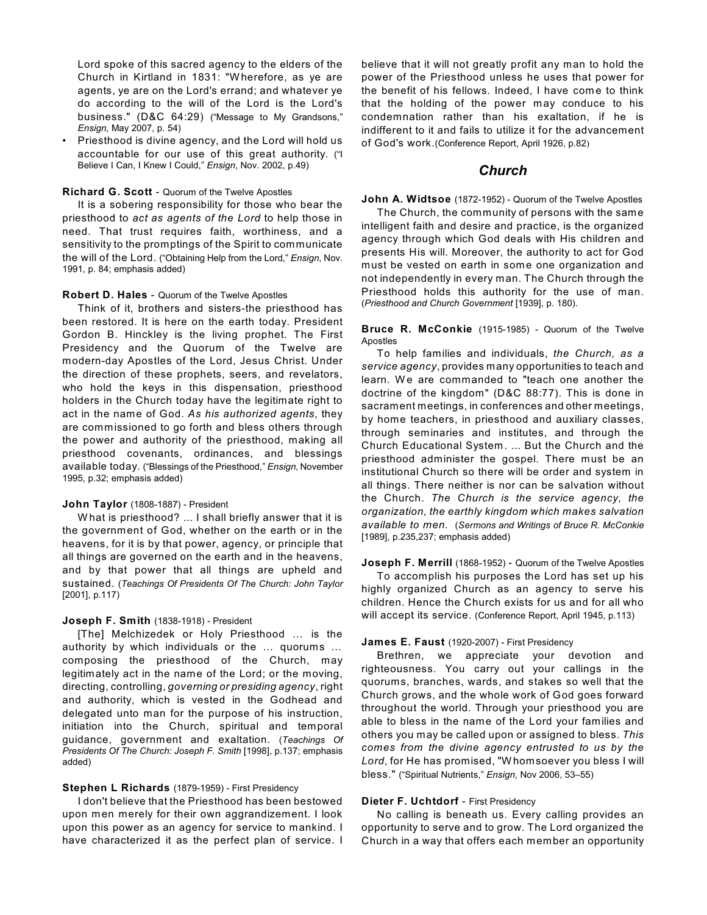Lord spoke of this sacred agency to the elders of the Church in Kirtland in 1831: "W herefore, as ye are agents, ye are on the Lord's errand; and whatever ye do according to the will of the Lord is the Lord's business." (D&C 64:29) ("Message to My Grandsons," *Ensign*, May 2007, p. 54)

• Priesthood is divine agency, and the Lord will hold us accountable for our use of this great authority. ("I Believe I Can, I Knew I Could," *Ensign*, Nov. 2002, p.49)

#### **Richard G. Scott** - Quorum of the Twelve Apostles

It is a sobering responsibility for those who bear the priesthood to *act as agents of the Lord* to help those in need. That trust requires faith, worthiness, and a sensitivity to the promptings of the Spirit to communicate the will of the Lord. ("Obtaining Help from the Lord," *Ensign*, Nov. 1991, p. 84; emphasis added)

#### **Robert D. Hales** - Quorum of the Twelve Apostles

Think of it, brothers and sisters-the priesthood has been restored. It is here on the earth today. President Gordon B. Hinckley is the living prophet. The First Presidency and the Quorum of the Twelve are modern-day Apostles of the Lord, Jesus Christ. Under the direction of these prophets, seers, and revelators, who hold the keys in this dispensation, priesthood holders in the Church today have the legitimate right to act in the name of God. *As his authorized agents*, they are commissioned to go forth and bless others through the power and authority of the priesthood, making all priesthood covenants, ordinances, and blessings available today. ("Blessings of the Priesthood," *Ensign*, November 1995, p.32; emphasis added)

#### **John Taylor** (1808-1887) - President

W hat is priesthood? ... I shall briefly answer that it is the government of God, whether on the earth or in the heavens, for it is by that power, agency, or principle that all things are governed on the earth and in the heavens, and by that power that all things are upheld and sustained. (*Teachings Of Presidents Of The Church: John Taylor* [2001], p.117)

#### **Joseph F. Smith** (1838-1918) - President

[The] Melchizedek or Holy Priesthood … is the authority by which individuals or the … quorums … composing the priesthood of the Church, may legitimately act in the name of the Lord; or the moving, directing, controlling, *governing or presiding agency*, right and authority, which is vested in the Godhead and delegated unto man for the purpose of his instruction, initiation into the Church, spiritual and temporal guidance, government and exaltation. (*Teachings Of Presidents Of The Church: Joseph F. Smith* [1998], p.137; emphasis added)

### **Stephen L Richards** (1879-1959) - First Presidency

I don't believe that the Priesthood has been bestowed upon men merely for their own aggrandizement. I look upon this power as an agency for service to mankind. I have characterized it as the perfect plan of service. I believe that it will not greatly profit any man to hold the power of the Priesthood unless he uses that power for the benefit of his fellows. Indeed, I have come to think that the holding of the power may conduce to his condemnation rather than his exaltation, if he is indifferent to it and fails to utilize it for the advancement of God's work.(Conference Report, April 1926, p.82)

## *Church*

#### **John A. Widtsoe** (1872-1952) - Quorum of the Twelve Apostles

The Church, the community of persons with the same intelligent faith and desire and practice, is the organized agency through which God deals with His children and presents His will. Moreover, the authority to act for God must be vested on earth in some one organization and not independently in every man. The Church through the Priesthood holds this authority for the use of man. (*Priesthood and Church Government* [1939], p. 180).

#### **Bruce R. McConkie** (1915-1985) - Quorum of the Twelve Apostles

To help families and individuals, *the Church, as a service agency*, provides many opportunities to teach and learn. We are commanded to "teach one another the doctrine of the kingdom" (D&C 88:77). This is done in sacrament meetings, in conferences and other meetings, by home teachers, in priesthood and auxiliary classes, through seminaries and institutes, and through the Church Educational System. ... But the Church and the priesthood administer the gospel. There must be an institutional Church so there will be order and system in all things. There neither is nor can be salvation without the Church. *The Church is the service agency, the organization, the earthly kingdom which makes salvation available to men.* (*Sermons and Writings of Bruce R. McConkie* [1989], p.235,237; emphasis added)

#### **Joseph F. Merrill** (1868-1952) - Quorum of the Twelve Apostles

To accomplish his purposes the Lord has set up his highly organized Church as an agency to serve his children. Hence the Church exists for us and for all who will accept its service. (Conference Report, April 1945, p.113)

#### **James E. Faust** (1920-2007) - First Presidency

Brethren, we appreciate your devotion and righteousness. You carry out your callings in the quorums, branches, wards, and stakes so well that the Church grows, and the whole work of God goes forward throughout the world. Through your priesthood you are able to bless in the name of the Lord your families and others you may be called upon or assigned to bless. *This comes from the divine agency entrusted to us by the Lord*, for He has promised, "W homsoever you bless I will bless." ("Spiritual Nutrients," *Ensign*, Nov 2006, 53–55)

#### **Dieter F. Uchtdorf** - First Presidency

No calling is beneath us. Every calling provides an opportunity to serve and to grow. The Lord organized the Church in a way that offers each member an opportunity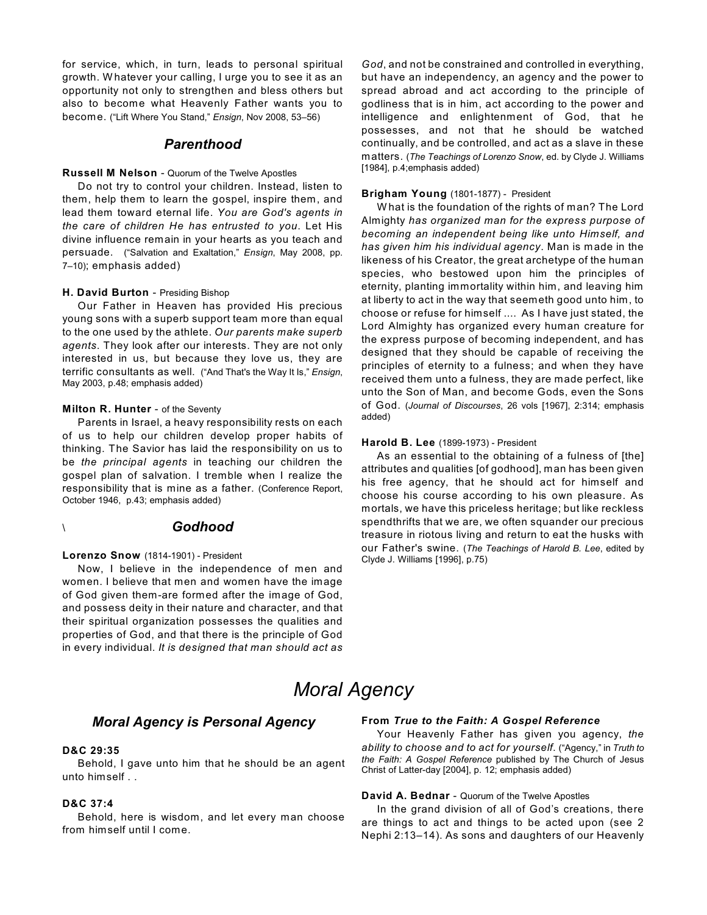for service, which, in turn, leads to personal spiritual growth. W hatever your calling, I urge you to see it as an opportunity not only to strengthen and bless others but also to become what Heavenly Father wants you to become. ("Lift Where You Stand," *Ensign*, Nov 2008, 53–56)

# *Parenthood*

#### **Russell M Nelson** - Quorum of the Twelve Apostles

Do not try to control your children. Instead, listen to them, help them to learn the gospel, inspire them, and lead them toward eternal life. *You are God's agents in the care of children He has entrusted to you*. Let His divine influence remain in your hearts as you teach and persuade. ("Salvation and Exaltation," *Ensign*, May 2008, pp. 7–10); emphasis added)

### **H. David Burton** - Presiding Bishop

Our Father in Heaven has provided His precious young sons with a superb support team more than equal to the one used by the athlete. *Our parents make superb agents*. They look after our interests. They are not only interested in us, but because they love us, they are terrific consultants as well. ("And That's the Way It Is," *Ensign*, May 2003, p.48; emphasis added)

#### **Milton R. Hunter** - of the Seventy

Parents in Israel, a heavy responsibility rests on each of us to help our children develop proper habits of thinking. The Savior has laid the responsibility on us to be *the principal agents* in teaching our children the gospel plan of salvation. I tremble when I realize the responsibility that is mine as a father. (Conference Report, October 1946, p.43; emphasis added)

### \ *Godhood*

### **Lorenzo Snow** (1814-1901) - President

Now, I believe in the independence of men and women. I believe that men and women have the image of God given them-are formed after the image of God, and possess deity in their nature and character, and that their spiritual organization possesses the qualities and properties of God, and that there is the principle of God in every individual. *It is designed that man should act as*

*God*, and not be constrained and controlled in everything, but have an independency, an agency and the power to spread abroad and act according to the principle of godliness that is in him, act according to the power and intelligence and enlightenment of God, that he possesses, and not that he should be watched continually, and be controlled, and act as a slave in these matters. (*The Teachings of Lorenzo Snow*, ed. by Clyde J. Williams [1984], p.4;emphasis added)

#### **Brigham Young** (1801-1877) - President

W hat is the foundation of the rights of man? The Lord Almighty *has organized man for the express purpose of becoming an independent being like unto Himself, and has given him his individual agency*. Man is made in the likeness of his Creator, the great archetype of the human species, who bestowed upon him the principles of eternity, planting immortality within him, and leaving him at liberty to act in the way that seemeth good unto him, to choose or refuse for himself .... As I have just stated, the Lord Almighty has organized every human creature for the express purpose of becoming independent, and has designed that they should be capable of receiving the principles of eternity to a fulness; and when they have received them unto a fulness, they are made perfect, like unto the Son of Man, and become Gods, even the Sons of God. (*Journal of Discourses*, 26 vols [1967], 2:314; emphasis added)

### **Harold B. Lee** (1899-1973) - President

As an essential to the obtaining of a fulness of [the] attributes and qualities [of godhood], man has been given his free agency, that he should act for himself and choose his course according to his own pleasure. As mortals, we have this priceless heritage; but like reckless spendthrifts that we are, we often squander our precious treasure in riotous living and return to eat the husks with our Father's swine. (*The Teachings of Harold B. Lee*, edited by Clyde J. Williams [1996], p.75)

# *Moral Agency*

# *Moral Agency is Personal Agency*

### **D&C 29:35**

Behold, I gave unto him that he should be an agent unto himself . .

#### **D&C 37:4**

Behold, here is wisdom, and let every man choose from himself until I come.

#### **From** *True to the Faith: A Gospel Reference*

Your Heavenly Father has given you agency, *the ability to choose and to act for yourself*. ("Agency," in *Truth to the Faith: A Gospel Reference* published by The Church of Jesus Christ of Latter-day [2004], p. 12; emphasis added)

#### **David A. Bednar** - Quorum of the Twelve Apostles

In the grand division of all of God's creations, there are things to act and things to be acted upon (see 2 Nephi 2:13–14). As sons and daughters of our Heavenly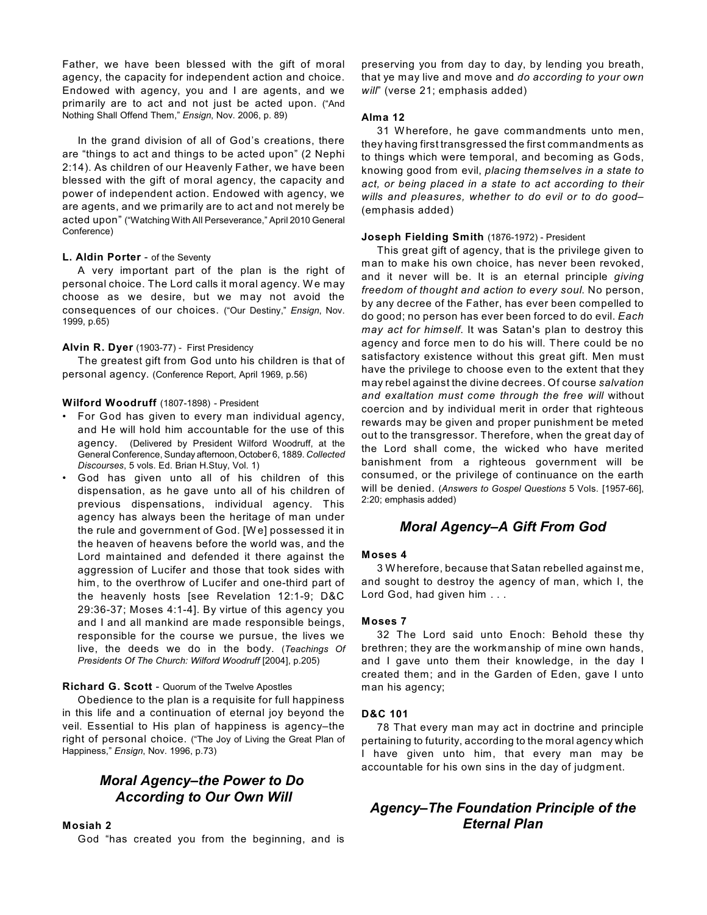Father, we have been blessed with the gift of moral agency, the capacity for independent action and choice. Endowed with agency, you and I are agents, and we primarily are to act and not just be acted upon. ("And Nothing Shall Offend Them," *Ensign*, Nov. 2006, p. 89)

In the grand division of all of God's creations, there are "things to act and things to be acted upon" (2 Nephi 2:14). As children of our Heavenly Father, we have been blessed with the gift of moral agency, the capacity and power of independent action. Endowed with agency, we are agents, and we primarily are to act and not merely be acted upon" ("Watching With All Perseverance," April 2010 General Conference)

## **L. Aldin Porter** - of the Seventy

A very important part of the plan is the right of personal choice. The Lord calls it moral agency. W e may choose as we desire, but we may not avoid the consequences of our choices. ("Our Destiny," *Ensign*, Nov. 1999, p.65)

### **Alvin R. Dyer** (1903-77) - First Presidency

The greatest gift from God unto his children is that of personal agency. (Conference Report, April 1969, p.56)

### **Wilford Woodruff** (1807-1898) - President

- For God has given to every man individual agency, and He will hold him accountable for the use of this agency. (Delivered by President Wilford Woodruff, at the General Conference, Sunday afternoon, October 6, 1889. *Collected Discourses*, 5 vols. Ed. Brian H.Stuy, Vol. 1)
- God has given unto all of his children of this dispensation, as he gave unto all of his children of previous dispensations, individual agency. This agency has always been the heritage of man under the rule and government of God. [W e] possessed it in the heaven of heavens before the world was, and the Lord maintained and defended it there against the aggression of Lucifer and those that took sides with him, to the overthrow of Lucifer and one-third part of the heavenly hosts [see Revelation 12:1-9; D&C 29:36-37; Moses 4:1-4]. By virtue of this agency you and I and all mankind are made responsible beings, responsible for the course we pursue, the lives we live, the deeds we do in the body. (*Teachings Of Presidents Of The Church: Wilford Woodruff* [2004], p.205)

### **Richard G. Scott** - Quorum of the Twelve Apostles

Obedience to the plan is a requisite for full happiness in this life and a continuation of eternal joy beyond the veil. Essential to His plan of happiness is agency–the right of personal choice. ("The Joy of Living the Great Plan of Happiness," *Ensign*, Nov. 1996, p.73)

# *Moral Agency–the Power to Do According to Our Own Will*

#### **Mosiah 2**

God "has created you from the beginning, and is

preserving you from day to day, by lending you breath, that ye may live and move and *do according to your own will*" (verse 21; emphasis added)

### **Alma 12**

31 Wherefore, he gave commandments unto men, they having first transgressed the first commandments as to things which were temporal, and becoming as Gods, knowing good from evil, *placing themselves in a state to act, or being placed in a state to act according to their wills and pleasures, whether to do evil or to do good*– (emphasis added)

#### **Joseph Fielding Smith** (1876-1972) - President

This great gift of agency, that is the privilege given to man to make his own choice, has never been revoked, and it never will be. It is an eternal principle *giving freedom of thought and action to every soul*. No person, by any decree of the Father, has ever been compelled to do good; no person has ever been forced to do evil. *Each may act for himself*. It was Satan's plan to destroy this agency and force men to do his will. There could be no satisfactory existence without this great gift. Men must have the privilege to choose even to the extent that they may rebel against the divine decrees. Of course *salvation and exaltation must come through the free will* without coercion and by individual merit in order that righteous rewards may be given and proper punishment be meted out to the transgressor. Therefore, when the great day of the Lord shall come, the wicked who have merited banishment from a righteous government will be consumed, or the privilege of continuance on the earth will be denied. (*Answers to Gospel Questions* 5 Vols. [1957-66], 2:20; emphasis added)

# *Moral Agency–A Gift From God*

#### **Moses 4**

3 Wherefore, because that Satan rebelled against me, and sought to destroy the agency of man, which I, the Lord God, had given him . . .

## **Moses 7**

32 The Lord said unto Enoch: Behold these thy brethren; they are the workmanship of mine own hands, and I gave unto them their knowledge, in the day I created them; and in the Garden of Eden, gave I unto man his agency;

#### **D&C 101**

78 That every man may act in doctrine and principle pertaining to futurity, according to the moral agency which I have given unto him, that every man may be accountable for his own sins in the day of judgment.

# *Agency–The Foundation Principle of the Eternal Plan*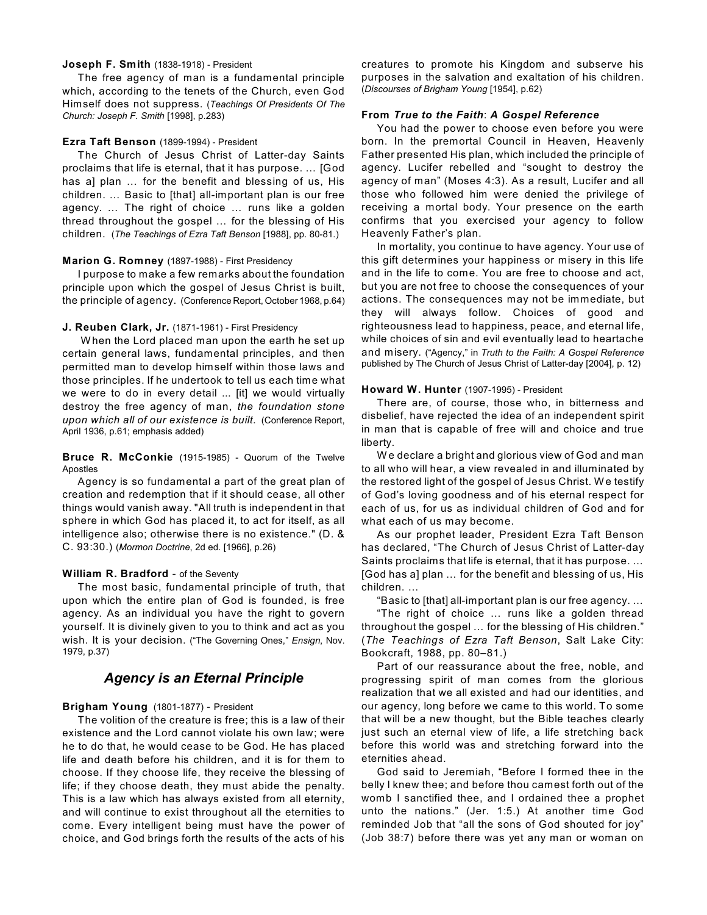### **Joseph F. Smith** (1838-1918) - President

The free agency of man is a fundamental principle which, according to the tenets of the Church, even God Himself does not suppress. (*Teachings Of Presidents Of The Church: Joseph F. Smith* [1998], p.283)

#### **Ezra Taft Benson** (1899-1994) - President

The Church of Jesus Christ of Latter-day Saints proclaims that life is eternal, that it has purpose. … [God has a] plan … for the benefit and blessing of us, His children. … Basic to [that] all-important plan is our free agency. … The right of choice … runs like a golden thread throughout the gospel … for the blessing of His children. (*The Teachings of Ezra Taft Benson* [1988], pp. 80-81.)

#### **Marion G. Romney** (1897-1988) - First Presidency

I purpose to make a few remarks about the foundation principle upon which the gospel of Jesus Christ is built, the principle of agency. (Conference Report, October 1968, p.64)

#### **J. Reuben Clark, Jr.** (1871-1961) - First Presidency

 W hen the Lord placed man upon the earth he set up certain general laws, fundamental principles, and then permitted man to develop himself within those laws and those principles. If he undertook to tell us each time what we were to do in every detail ... [it] we would virtually destroy the free agency of man, *the foundation stone upon which all of our existence is built*. (Conference Report, April 1936, p.61; emphasis added)

### **Bruce R. McConkie** (1915-1985) - Quorum of the Twelve Apostles

Agency is so fundamental a part of the great plan of creation and redemption that if it should cease, all other things would vanish away. "All truth is independent in that sphere in which God has placed it, to act for itself, as all intelligence also; otherwise there is no existence." (D. & C. 93:30.) (*Mormon Doctrine*, 2d ed. [1966], p.26)

#### **William R. Bradford** - of the Seventy

The most basic, fundamental principle of truth, that upon which the entire plan of God is founded, is free agency. As an individual you have the right to govern yourself. It is divinely given to you to think and act as you wish. It is your decision. ("The Governing Ones," *Ensign*, Nov. 1979, p.37)

## *Agency is an Eternal Principle*

#### **Brigham Young** (1801-1877) - President

The volition of the creature is free; this is a law of their existence and the Lord cannot violate his own law; were he to do that, he would cease to be God. He has placed life and death before his children, and it is for them to choose. If they choose life, they receive the blessing of life; if they choose death, they must abide the penalty. This is a law which has always existed from all eternity, and will continue to exist throughout all the eternities to come. Every intelligent being must have the power of choice, and God brings forth the results of the acts of his

creatures to promote his Kingdom and subserve his purposes in the salvation and exaltation of his children. (*Discourses of Brigham Young* [1954], p.62)

#### **From** *True to the Faith*: *A Gospel Reference*

You had the power to choose even before you were born. In the premortal Council in Heaven, Heavenly Father presented His plan, which included the principle of agency. Lucifer rebelled and "sought to destroy the agency of man" (Moses 4:3). As a result, Lucifer and all those who followed him were denied the privilege of receiving a mortal body. Your presence on the earth confirms that you exercised your agency to follow Heavenly Father's plan.

In mortality, you continue to have agency. Your use of this gift determines your happiness or misery in this life and in the life to come. You are free to choose and act, but you are not free to choose the consequences of your actions. The consequences may not be immediate, but they will always follow. Choices of good and righteousness lead to happiness, peace, and eternal life, while choices of sin and evil eventually lead to heartache and misery. ("Agency," in *Truth to the Faith: A Gospel Reference* published by The Church of Jesus Christ of Latter-day [2004], p. 12)

#### **Howard W. Hunter** (1907-1995) - President

There are, of course, those who, in bitterness and disbelief, have rejected the idea of an independent spirit in man that is capable of free will and choice and true liberty.

W e declare a bright and glorious view of God and man to all who will hear, a view revealed in and illuminated by the restored light of the gospel of Jesus Christ. W e testify of God's loving goodness and of his eternal respect for each of us, for us as individual children of God and for what each of us may become.

As our prophet leader, President Ezra Taft Benson has declared, "The Church of Jesus Christ of Latter-day Saints proclaims that life is eternal, that it has purpose. … [God has a] plan … for the benefit and blessing of us, His children. …

"Basic to [that] all-important plan is our free agency. …

"The right of choice … runs like a golden thread throughout the gospel … for the blessing of His children." (*The Teachings of Ezra Taft Benson*, Salt Lake City: Bookcraft, 1988, pp. 80–81.)

Part of our reassurance about the free, noble, and progressing spirit of man comes from the glorious realization that we all existed and had our identities, and our agency, long before we came to this world. To some that will be a new thought, but the Bible teaches clearly just such an eternal view of life, a life stretching back before this world was and stretching forward into the eternities ahead.

God said to Jeremiah, "Before I formed thee in the belly I knew thee; and before thou camest forth out of the womb I sanctified thee, and I ordained thee a prophet unto the nations." (Jer. 1:5.) At another time God reminded Job that "all the sons of God shouted for joy" (Job 38:7) before there was yet any man or woman on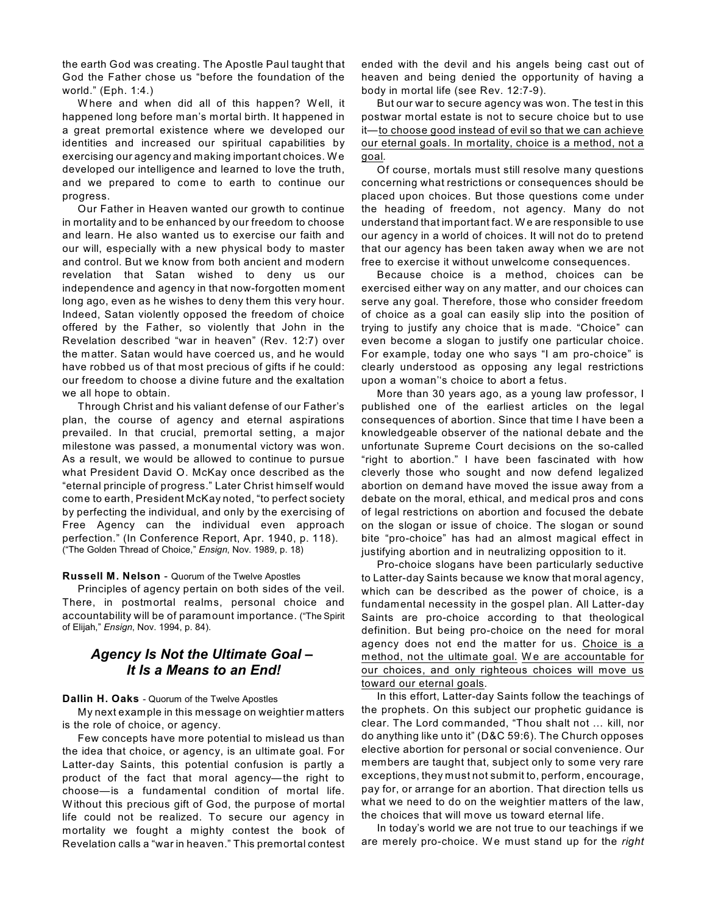the earth God was creating. The Apostle Paul taught that God the Father chose us "before the foundation of the world." (Eph. 1:4.)

Where and when did all of this happen? Well, it happened long before man's mortal birth. It happened in a great premortal existence where we developed our identities and increased our spiritual capabilities by exercising our agency and making important choices. We developed our intelligence and learned to love the truth, and we prepared to come to earth to continue our progress.

Our Father in Heaven wanted our growth to continue in mortality and to be enhanced by our freedom to choose and learn. He also wanted us to exercise our faith and our will, especially with a new physical body to master and control. But we know from both ancient and modern revelation that Satan wished to deny us our independence and agency in that now-forgotten moment long ago, even as he wishes to deny them this very hour. Indeed, Satan violently opposed the freedom of choice offered by the Father, so violently that John in the Revelation described "war in heaven" (Rev. 12:7) over the matter. Satan would have coerced us, and he would have robbed us of that most precious of gifts if he could: our freedom to choose a divine future and the exaltation we all hope to obtain.

Through Christ and his valiant defense of our Father's plan, the course of agency and eternal aspirations prevailed. In that crucial, premortal setting, a major milestone was passed, a monumental victory was won. As a result, we would be allowed to continue to pursue what President David O. McKay once described as the "eternal principle of progress." Later Christ himself would come to earth, President McKay noted, "to perfect society by perfecting the individual, and only by the exercising of Free Agency can the individual even approach perfection." (In Conference Report, Apr. 1940, p. 118). ("The Golden Thread of Choice," *Ensign*, Nov. 1989, p. 18)

#### **Russell M. Nelson** - Quorum of the Twelve Apostles

Principles of agency pertain on both sides of the veil. There, in postmortal realms, personal choice and accountability will be of paramount importance. ("The Spirit of Elijah," *Ensign*, Nov. 1994, p. 84).

# *Agency Is Not the Ultimate Goal – It Is a Means to an End!*

### **Dallin H. Oaks** - Quorum of the Twelve Apostles

My next example in this message on weightier matters is the role of choice, or agency.

Few concepts have more potential to mislead us than the idea that choice, or agency, is an ultimate goal. For Latter-day Saints, this potential confusion is partly a product of the fact that moral agency—the right to choose—is a fundamental condition of mortal life. W ithout this precious gift of God, the purpose of mortal life could not be realized. To secure our agency in mortality we fought a mighty contest the book of Revelation calls a "war in heaven." This premortal contest ended with the devil and his angels being cast out of heaven and being denied the opportunity of having a body in mortal life (see Rev. 12:7-9).

But our war to secure agency was won. The test in this postwar mortal estate is not to secure choice but to use it—to choose good instead of evil so that we can achieve our eternal goals. In mortality, choice is a method, not a goal*.*

Of course, mortals must still resolve many questions concerning what restrictions or consequences should be placed upon choices. But those questions come under the heading of freedom, not agency. Many do not understand that important fact. W e are responsible to use our agency in a world of choices. It will not do to pretend that our agency has been taken away when we are not free to exercise it without unwelcome consequences.

Because choice is a method, choices can be exercised either way on any matter, and our choices can serve any goal. Therefore, those who consider freedom of choice as a goal can easily slip into the position of trying to justify any choice that is made. "Choice" can even become a slogan to justify one particular choice. For example, today one who says "I am pro-choice" is clearly understood as opposing any legal restrictions upon a woman''s choice to abort a fetus.

More than 30 years ago, as a young law professor, I published one of the earliest articles on the legal consequences of abortion. Since that time I have been a knowledgeable observer of the national debate and the unfortunate Supreme Court decisions on the so-called "right to abortion." I have been fascinated with how cleverly those who sought and now defend legalized abortion on demand have moved the issue away from a debate on the moral, ethical, and medical pros and cons of legal restrictions on abortion and focused the debate on the slogan or issue of choice. The slogan or sound bite "pro-choice" has had an almost magical effect in justifying abortion and in neutralizing opposition to it.

Pro-choice slogans have been particularly seductive to Latter-day Saints because we know that moral agency, which can be described as the power of choice, is a fundamental necessity in the gospel plan. All Latter-day Saints are pro-choice according to that theological definition. But being pro-choice on the need for moral agency does not end the matter for us. Choice is a method, not the ultimate goal. We are accountable for our choices, and only righteous choices will move us toward our eternal goals*.*

In this effort, Latter-day Saints follow the teachings of the prophets. On this subject our prophetic guidance is clear. The Lord commanded, "Thou shalt not … kill, nor do anything like unto it" (D&C 59:6). The Church opposes elective abortion for personal or social convenience. Our members are taught that, subject only to some very rare exceptions, they must not submit to, perform, encourage, pay for, or arrange for an abortion. That direction tells us what we need to do on the weightier matters of the law, the choices that will move us toward eternal life.

In today's world we are not true to our teachings if we are merely pro-choice. W e must stand up for the *right*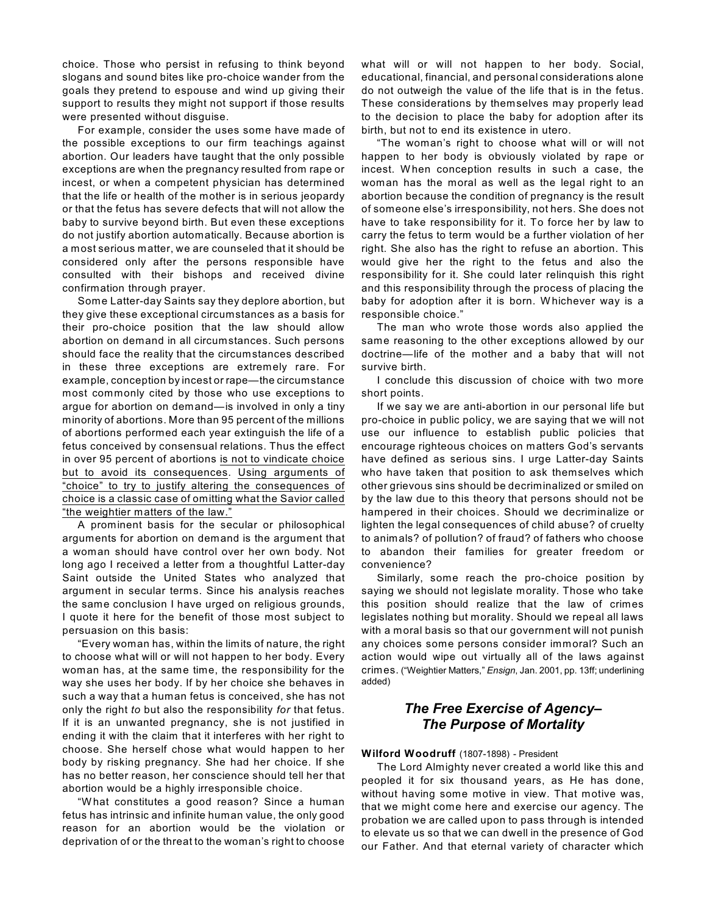choice. Those who persist in refusing to think beyond slogans and sound bites like pro-choice wander from the goals they pretend to espouse and wind up giving their support to results they might not support if those results were presented without disguise.

For example, consider the uses some have made of the possible exceptions to our firm teachings against abortion. Our leaders have taught that the only possible exceptions are when the pregnancy resulted from rape or incest, or when a competent physician has determined that the life or health of the mother is in serious jeopardy or that the fetus has severe defects that will not allow the baby to survive beyond birth. But even these exceptions do not justify abortion automatically. Because abortion is a most serious matter, we are counseled that it should be considered only after the persons responsible have consulted with their bishops and received divine confirmation through prayer.

Some Latter-day Saints say they deplore abortion, but they give these exceptional circumstances as a basis for their pro-choice position that the law should allow abortion on demand in all circumstances. Such persons should face the reality that the circumstances described in these three exceptions are extremely rare. For example, conception by incest or rape—the circumstance most commonly cited by those who use exceptions to argue for abortion on demand—is involved in only a tiny minority of abortions. More than 95 percent of the millions of abortions performed each year extinguish the life of a fetus conceived by consensual relations. Thus the effect in over 95 percent of abortions is not to vindicate choice but to avoid its consequences. Using arguments of "choice" to try to justify altering the consequences of choice is a classic case of omitting what the Savior called "the weightier matters of the law."

A prominent basis for the secular or philosophical arguments for abortion on demand is the argument that a woman should have control over her own body. Not long ago I received a letter from a thoughtful Latter-day Saint outside the United States who analyzed that argument in secular terms. Since his analysis reaches the same conclusion I have urged on religious grounds, I quote it here for the benefit of those most subject to persuasion on this basis:

"Every woman has, within the limits of nature, the right to choose what will or will not happen to her body. Every woman has, at the same time, the responsibility for the way she uses her body. If by her choice she behaves in such a way that a human fetus is conceived, she has not only the right *to* but also the responsibility *for* that fetus. If it is an unwanted pregnancy, she is not justified in ending it with the claim that it interferes with her right to choose. She herself chose what would happen to her body by risking pregnancy. She had her choice. If she has no better reason, her conscience should tell her that abortion would be a highly irresponsible choice.

"W hat constitutes a good reason? Since a human fetus has intrinsic and infinite human value, the only good reason for an abortion would be the violation or deprivation of or the threat to the woman's right to choose

what will or will not happen to her body. Social, educational, financial, and personal considerations alone do not outweigh the value of the life that is in the fetus. These considerations by themselves may properly lead to the decision to place the baby for adoption after its birth, but not to end its existence in utero.

"The woman's right to choose what will or will not happen to her body is obviously violated by rape or incest. W hen conception results in such a case, the woman has the moral as well as the legal right to an abortion because the condition of pregnancy is the result of someone else's irresponsibility, not hers. She does not have to take responsibility for it. To force her by law to carry the fetus to term would be a further violation of her right. She also has the right to refuse an abortion. This would give her the right to the fetus and also the responsibility for it. She could later relinquish this right and this responsibility through the process of placing the baby for adoption after it is born. W hichever way is a responsible choice."

The man who wrote those words also applied the same reasoning to the other exceptions allowed by our doctrine—life of the mother and a baby that will not survive birth.

I conclude this discussion of choice with two more short points.

If we say we are anti-abortion in our personal life but pro-choice in public policy, we are saying that we will not use our influence to establish public policies that encourage righteous choices on matters God's servants have defined as serious sins. I urge Latter-day Saints who have taken that position to ask themselves which other grievous sins should be decriminalized or smiled on by the law due to this theory that persons should not be hampered in their choices. Should we decriminalize or lighten the legal consequences of child abuse? of cruelty to animals? of pollution? of fraud? of fathers who choose to abandon their families for greater freedom or convenience?

Similarly, some reach the pro-choice position by saying we should not legislate morality. Those who take this position should realize that the law of crimes legislates nothing but morality. Should we repeal all laws with a moral basis so that our government will not punish any choices some persons consider immoral? Such an action would wipe out virtually all of the laws against crimes. ("Weightier Matters," *Ensign*, Jan. 2001, pp. 13ff; underlining added)

# *The Free Exercise of Agency– The Purpose of Mortality*

#### **Wilford Woodruff** (1807-1898) - President

The Lord Almighty never created a world like this and peopled it for six thousand years, as He has done, without having some motive in view. That motive was, that we might come here and exercise our agency. The probation we are called upon to pass through is intended to elevate us so that we can dwell in the presence of God our Father. And that eternal variety of character which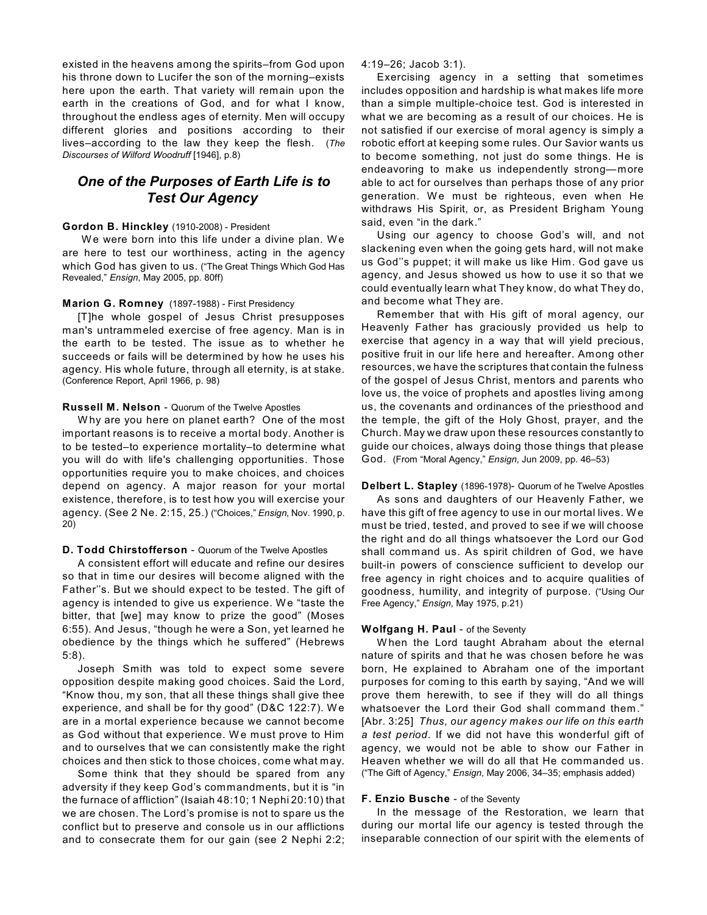existed in the heavens among the spirits–from God upon his throne down to Lucifer the son of the morning–exists here upon the earth. That variety will remain upon the earth in the creations of God, and for what I know, throughout the endless ages of eternity. Men will occupy different glories and positions according to their lives–according to the law they keep the flesh. (*The Discourses of Wilford Woodruff* [1946], p.8)

# *One of the Purposes of Earth Life is to Test Our Agency*

### **Gordon B. Hinckley** (1910-2008) - President

We were born into this life under a divine plan. We are here to test our worthiness, acting in the agency which God has given to us. ("The Great Things Which God Has Revealed," *Ensign*, May 2005, pp. 80ff)

#### **Marion G. Romney** (1897-1988) - First Presidency

[T]he whole gospel of Jesus Christ presupposes man's untrammeled exercise of free agency. Man is in the earth to be tested. The issue as to whether he succeeds or fails will be determined by how he uses his agency. His whole future, through all eternity, is at stake. (Conference Report, April 1966, p. 98)

#### **Russell M. Nelson** - Quorum of the Twelve Apostles

W hy are you here on planet earth? One of the most important reasons is to receive a mortal body. Another is to be tested–to experience mortality–to determine what you will do with life's challenging opportunities. Those opportunities require you to make choices, and choices depend on agency. A major reason for your mortal existence, therefore, is to test how you will exercise your agency. (See 2 Ne. 2:15, 25.) ("Choices," *Ensign*, Nov. 1990, p. 20)

#### **D. Todd Chirstofferson** - Quorum of the Twelve Apostles

A consistent effort will educate and refine our desires so that in time our desires will become aligned with the Father''s. But we should expect to be tested. The gift of agency is intended to give us experience. W e "taste the bitter, that [we] may know to prize the good" (Moses 6:55). And Jesus, "though he were a Son, yet learned he obedience by the things which he suffered" (Hebrews 5:8).

Joseph Smith was told to expect some severe opposition despite making good choices. Said the Lord, "Know thou, my son, that all these things shall give thee experience, and shall be for thy good" (D&C 122:7). W e are in a mortal experience because we cannot become as God without that experience. W e must prove to Him and to ourselves that we can consistently make the right choices and then stick to those choices, come what may.

Some think that they should be spared from any adversity if they keep God's commandments, but it is "in the furnace of affliction" (Isaiah 48:10; 1 Nephi 20:10) that we are chosen. The Lord's promise is not to spare us the conflict but to preserve and console us in our afflictions and to consecrate them for our gain (see 2 Nephi 2:2; 4:19–26; Jacob 3:1).

Exercising agency in a setting that sometimes includes opposition and hardship is what makes life more than a simple multiple-choice test. God is interested in what we are becoming as a result of our choices. He is not satisfied if our exercise of moral agency is simply a robotic effort at keeping some rules. Our Savior wants us to become something, not just do some things. He is endeavoring to make us independently strong—more able to act for ourselves than perhaps those of any prior generation. We must be righteous, even when He withdraws His Spirit, or, as President Brigham Young said, even "in the dark."

Using our agency to choose God's will, and not slackening even when the going gets hard, will not make us God''s puppet; it will make us like Him. God gave us agency, and Jesus showed us how to use it so that we could eventually learn what They know, do what They do, and become what They are.

Remember that with His gift of moral agency, our Heavenly Father has graciously provided us help to exercise that agency in a way that will yield precious, positive fruit in our life here and hereafter. Among other resources, we have the scriptures that contain the fulness of the gospel of Jesus Christ, mentors and parents who love us, the voice of prophets and apostles living among us, the covenants and ordinances of the priesthood and the temple, the gift of the Holy Ghost, prayer, and the Church. May we draw upon these resources constantly to guide our choices, always doing those things that please God. (From "Moral Agency," *Ensign*, Jun 2009, pp. 46–53)

#### **Delbert L. Stapley** (1896-1978)- Quorum of he Twelve Apostles

As sons and daughters of our Heavenly Father, we have this gift of free agency to use in our mortal lives. We must be tried, tested, and proved to see if we will choose the right and do all things whatsoever the Lord our God shall command us. As spirit children of God, we have built-in powers of conscience sufficient to develop our free agency in right choices and to acquire qualities of goodness, humility, and integrity of purpose. ("Using Our Free Agency," *Ensign*, May 1975, p.21)

#### **Wolfgang H. Paul** - of the Seventy

W hen the Lord taught Abraham about the eternal nature of spirits and that he was chosen before he was born, He explained to Abraham one of the important purposes for coming to this earth by saying, "And we will prove them herewith, to see if they will do all things whatsoever the Lord their God shall command them." [Abr. 3:25] *Thus, our agency makes our life on this earth a test period*. If we did not have this wonderful gift of agency, we would not be able to show our Father in Heaven whether we will do all that He commanded us. ("The Gift of Agency," *Ensign*, May 2006, 34–35; emphasis added)

### **F. Enzio Busche** - of the Seventy

In the message of the Restoration, we learn that during our mortal life our agency is tested through the inseparable connection of our spirit with the elements of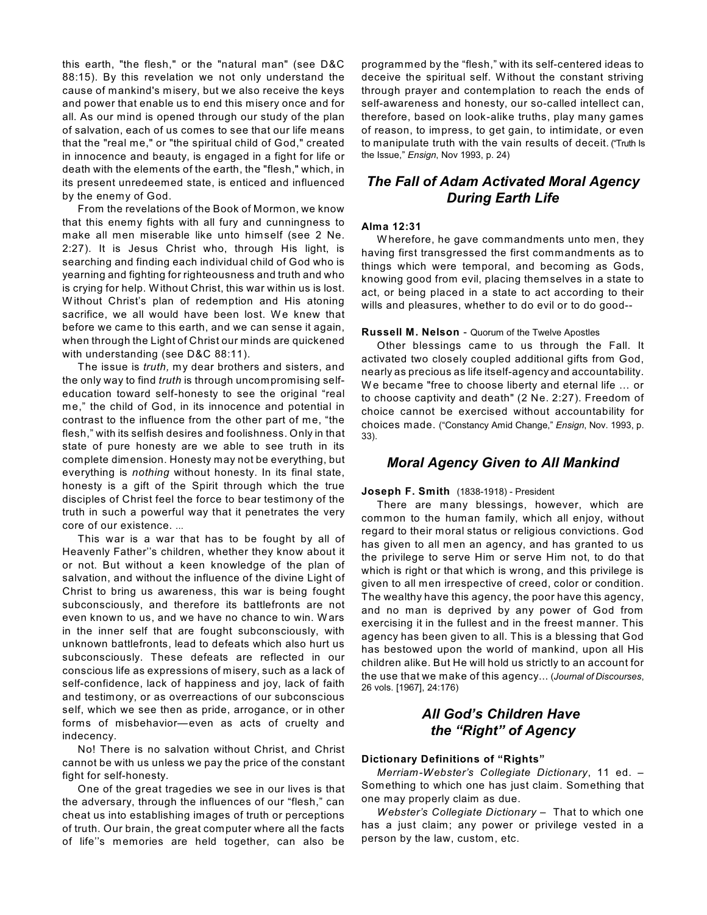this earth, "the flesh," or the "natural man" (see D&C 88:15). By this revelation we not only understand the cause of mankind's misery, but we also receive the keys and power that enable us to end this misery once and for all. As our mind is opened through our study of the plan of salvation, each of us comes to see that our life means that the "real me," or "the spiritual child of God," created in innocence and beauty, is engaged in a fight for life or death with the elements of the earth, the "flesh," which, in its present unredeemed state, is enticed and influenced by the enemy of God.

From the revelations of the Book of Mormon, we know that this enemy fights with all fury and cunningness to make all men miserable like unto himself (see 2 Ne. 2:27). It is Jesus Christ who, through His light, is searching and finding each individual child of God who is yearning and fighting for righteousness and truth and who is crying for help. Without Christ, this war within us is lost. W ithout Christ's plan of redemption and His atoning sacrifice, we all would have been lost. We knew that before we came to this earth, and we can sense it again, when through the Light of Christ our minds are quickened with understanding (see D&C 88:11).

The issue is *truth,* my dear brothers and sisters, and the only way to find *truth* is through uncompromising selfeducation toward self-honesty to see the original "real me," the child of God, in its innocence and potential in contrast to the influence from the other part of me, "the flesh," with its selfish desires and foolishness. Only in that state of pure honesty are we able to see truth in its complete dimension. Honesty may not be everything, but everything is *nothing* without honesty. In its final state, honesty is a gift of the Spirit through which the true disciples of Christ feel the force to bear testimony of the truth in such a powerful way that it penetrates the very core of our existence. ...

This war is a war that has to be fought by all of Heavenly Father''s children, whether they know about it or not. But without a keen knowledge of the plan of salvation, and without the influence of the divine Light of Christ to bring us awareness, this war is being fought subconsciously, and therefore its battlefronts are not even known to us, and we have no chance to win. W ars in the inner self that are fought subconsciously, with unknown battlefronts, lead to defeats which also hurt us subconsciously. These defeats are reflected in our conscious life as expressions of misery, such as a lack of self-confidence, lack of happiness and joy, lack of faith and testimony, or as overreactions of our subconscious self, which we see then as pride, arrogance, or in other forms of misbehavior—even as acts of cruelty and indecency.

No! There is no salvation without Christ, and Christ cannot be with us unless we pay the price of the constant fight for self-honesty.

One of the great tragedies we see in our lives is that the adversary, through the influences of our "flesh," can cheat us into establishing images of truth or perceptions of truth. Our brain, the great computer where all the facts of life''s memories are held together, can also be

programmed by the "flesh," with its self-centered ideas to deceive the spiritual self. W ithout the constant striving through prayer and contemplation to reach the ends of self-awareness and honesty, our so-called intellect can, therefore, based on look-alike truths, play many games of reason, to impress, to get gain, to intimidate, or even to manipulate truth with the vain results of deceit. ("Truth Is the Issue," *Ensign*, Nov 1993, p. 24)

# *The Fall of Adam Activated Moral Agency During Earth Life*

### **Alma 12:31**

W herefore, he gave commandments unto men, they having first transgressed the first commandments as to things which were temporal, and becoming as Gods, knowing good from evil, placing themselves in a state to act, or being placed in a state to act according to their wills and pleasures, whether to do evil or to do good--

### **Russell M. Nelson** - Quorum of the Twelve Apostles

Other blessings came to us through the Fall. It activated two closely coupled additional gifts from God, nearly as precious as life itself-agency and accountability. W e became "free to choose liberty and eternal life … or to choose captivity and death" (2 Ne. 2:27). Freedom of choice cannot be exercised without accountability for choices made. ("Constancy Amid Change," *Ensign*, Nov. 1993, p. 33).

# *Moral Agency Given to All Mankind*

#### **Joseph F. Smith** (1838-1918) - President

There are many blessings, however, which are common to the human family, which all enjoy, without regard to their moral status or religious convictions. God has given to all men an agency, and has granted to us the privilege to serve Him or serve Him not, to do that which is right or that which is wrong, and this privilege is given to all men irrespective of creed, color or condition. The wealthy have this agency, the poor have this agency, and no man is deprived by any power of God from exercising it in the fullest and in the freest manner. This agency has been given to all. This is a blessing that God has bestowed upon the world of mankind, upon all His children alike. But He will hold us strictly to an account for the use that we make of this agency... (*Journal of Discourses*, 26 vols. [1967], 24:176)

# *All God's Children Have the "Right" of Agency*

#### **Dictionary Definitions of "Rights"**

*Merriam-Webster's Collegiate Dictionary*, 11 ed. – Something to which one has just claim. Something that one may properly claim as due.

*Webster's Collegiate Dictionary* – That to which one has a just claim; any power or privilege vested in a person by the law, custom, etc.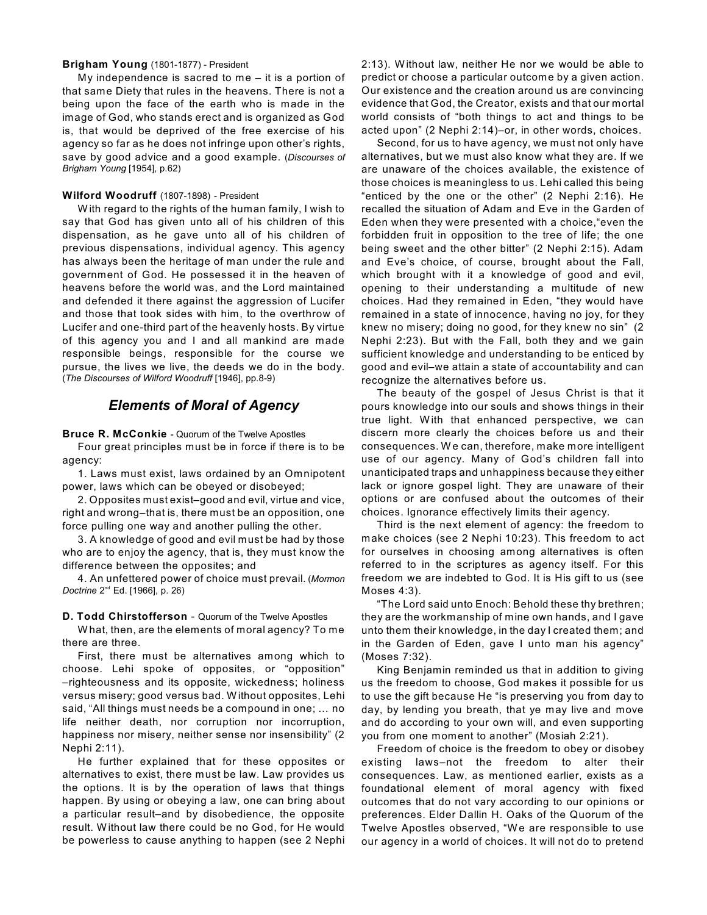### **Brigham Young** (1801-1877) - President

My independence is sacred to me – it is a portion of that same Diety that rules in the heavens. There is not a being upon the face of the earth who is made in the image of God, who stands erect and is organized as God is, that would be deprived of the free exercise of his agency so far as he does not infringe upon other's rights, save by good advice and a good example. (*Discourses of Brigham Young* [1954], p.62)

### **Wilford Woodruff** (1807-1898) - President

W ith regard to the rights of the human family, I wish to say that God has given unto all of his children of this dispensation, as he gave unto all of his children of previous dispensations, individual agency. This agency has always been the heritage of man under the rule and government of God. He possessed it in the heaven of heavens before the world was, and the Lord maintained and defended it there against the aggression of Lucifer and those that took sides with him, to the overthrow of Lucifer and one-third part of the heavenly hosts. By virtue of this agency you and I and all mankind are made responsible beings, responsible for the course we pursue, the lives we live, the deeds we do in the body. (*The Discourses of Wilford Woodruff* [1946], pp.8-9)

# *Elements of Moral of Agency*

#### **Bruce R. McConkie** - Quorum of the Twelve Apostles

Four great principles must be in force if there is to be agency:

1. Laws must exist, laws ordained by an Omnipotent power, laws which can be obeyed or disobeyed;

2. Opposites must exist–good and evil, virtue and vice, right and wrong–that is, there must be an opposition, one force pulling one way and another pulling the other.

3. A knowledge of good and evil must be had by those who are to enjoy the agency, that is, they must know the difference between the opposites; and

4. An unfettered power of choice must prevail. (*Mormon Doctrine* 2<sup>nd</sup> Ed. [1966], p. 26)

#### **D. Todd Chirstofferson** - Quorum of the Twelve Apostles

W hat, then, are the elements of moral agency? To me there are three.

First, there must be alternatives among which to choose. Lehi spoke of opposites, or "opposition" –righteousness and its opposite, wickedness; holiness versus misery; good versus bad. W ithout opposites, Lehi said, "All things must needs be a compound in one; … no life neither death, nor corruption nor incorruption, happiness nor misery, neither sense nor insensibility" (2 Nephi 2:11).

He further explained that for these opposites or alternatives to exist, there must be law. Law provides us the options. It is by the operation of laws that things happen. By using or obeying a law, one can bring about a particular result–and by disobedience, the opposite result. W ithout law there could be no God, for He would be powerless to cause anything to happen (see 2 Nephi 2:13). W ithout law, neither He nor we would be able to predict or choose a particular outcome by a given action. Our existence and the creation around us are convincing evidence that God, the Creator, exists and that our mortal world consists of "both things to act and things to be acted upon" (2 Nephi 2:14)–or, in other words, choices.

Second, for us to have agency, we must not only have alternatives, but we must also know what they are. If we are unaware of the choices available, the existence of those choices is meaningless to us. Lehi called this being "enticed by the one or the other" (2 Nephi 2:16). He recalled the situation of Adam and Eve in the Garden of Eden when they were presented with a choice,"even the forbidden fruit in opposition to the tree of life; the one being sweet and the other bitter" (2 Nephi 2:15). Adam and Eve's choice, of course, brought about the Fall, which brought with it a knowledge of good and evil, opening to their understanding a multitude of new choices. Had they remained in Eden, "they would have remained in a state of innocence, having no joy, for they knew no misery; doing no good, for they knew no sin" (2 Nephi 2:23). But with the Fall, both they and we gain sufficient knowledge and understanding to be enticed by good and evil–we attain a state of accountability and can recognize the alternatives before us.

The beauty of the gospel of Jesus Christ is that it pours knowledge into our souls and shows things in their true light. W ith that enhanced perspective, we can discern more clearly the choices before us and their consequences. W e can, therefore, make more intelligent use of our agency. Many of God's children fall into unanticipated traps and unhappiness because they either lack or ignore gospel light. They are unaware of their options or are confused about the outcomes of their choices. Ignorance effectively limits their agency.

Third is the next element of agency: the freedom to make choices (see 2 Nephi 10:23). This freedom to act for ourselves in choosing among alternatives is often referred to in the scriptures as agency itself. For this freedom we are indebted to God. It is His gift to us (see Moses 4:3).

"The Lord said unto Enoch: Behold these thy brethren; they are the workmanship of mine own hands, and I gave unto them their knowledge, in the day I created them; and in the Garden of Eden, gave I unto man his agency" (Moses 7:32).

King Benjamin reminded us that in addition to giving us the freedom to choose, God makes it possible for us to use the gift because He "is preserving you from day to day, by lending you breath, that ye may live and move and do according to your own will, and even supporting you from one moment to another" (Mosiah 2:21).

Freedom of choice is the freedom to obey or disobey existing laws–not the freedom to alter their consequences. Law, as mentioned earlier, exists as a foundational element of moral agency with fixed outcomes that do not vary according to our opinions or preferences. Elder Dallin H. Oaks of the Quorum of the Twelve Apostles observed, "We are responsible to use our agency in a world of choices. It will not do to pretend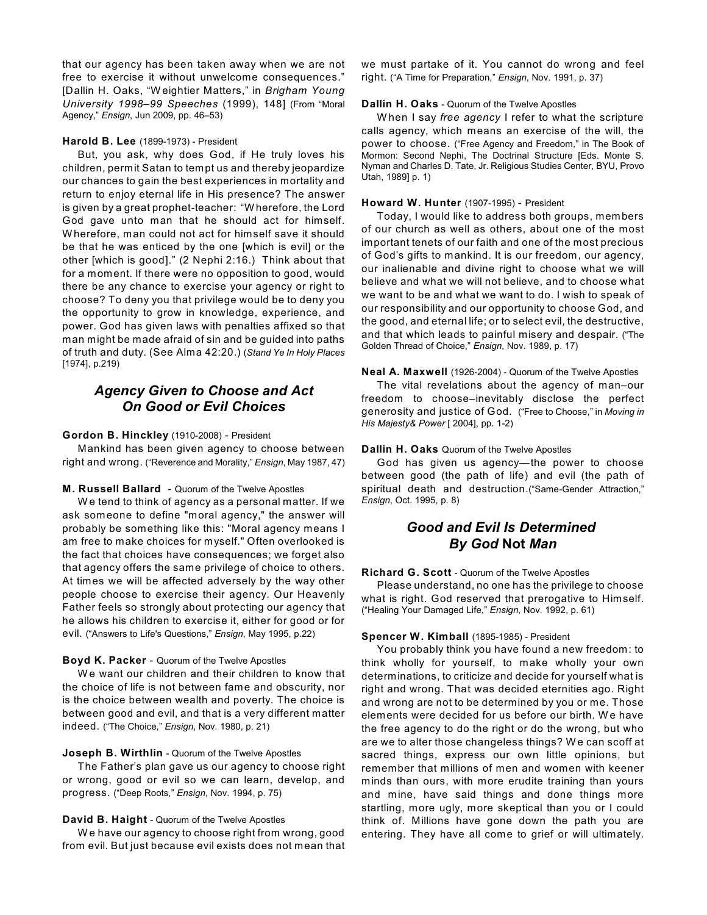that our agency has been taken away when we are not free to exercise it without unwelcome consequences." [Dallin H. Oaks, "W eightier Matters," in *Brigham Young University 1998*–*99 Speeches* (1999), 148] (From "Moral Agency," *Ensign*, Jun 2009, pp. 46–53)

#### **Harold B. Lee** (1899-1973) - President

But, you ask, why does God, if He truly loves his children, permit Satan to tempt us and thereby jeopardize our chances to gain the best experiences in mortality and return to enjoy eternal life in His presence? The answer is given by a great prophet-teacher: "Wherefore, the Lord God gave unto man that he should act for himself. W herefore, man could not act for himself save it should be that he was enticed by the one [which is evil] or the other [which is good]." (2 Nephi 2:16.) Think about that for a moment. If there were no opposition to good, would there be any chance to exercise your agency or right to choose? To deny you that privilege would be to deny you the opportunity to grow in knowledge, experience, and power. God has given laws with penalties affixed so that man might be made afraid of sin and be guided into paths of truth and duty. (See Alma 42:20.) (*Stand Ye In Holy Places* [1974], p.219)

# *Agency Given to Choose and Act On Good or Evil Choices*

#### **Gordon B. Hinckley** (1910-2008) - President

Mankind has been given agency to choose between right and wrong. ("Reverence and Morality," *Ensign*, May 1987, 47)

### **M. Russell Ballard** - Quorum of the Twelve Apostles

W e tend to think of agency as a personal matter. If we ask someone to define "moral agency," the answer will probably be something like this: "Moral agency means I am free to make choices for myself." Often overlooked is the fact that choices have consequences; we forget also that agency offers the same privilege of choice to others. At times we will be affected adversely by the way other people choose to exercise their agency. Our Heavenly Father feels so strongly about protecting our agency that he allows his children to exercise it, either for good or for evil. ("Answers to Life's Questions," *Ensign*, May 1995, p.22)

#### **Boyd K. Packer** - Quorum of the Twelve Apostles

W e want our children and their children to know that the choice of life is not between fame and obscurity, nor is the choice between wealth and poverty. The choice is between good and evil, and that is a very different matter indeed. ("The Choice," *Ensign*, Nov. 1980, p. 21)

#### **Joseph B. Wirthlin** - Quorum of the Twelve Apostles

The Father's plan gave us our agency to choose right or wrong, good or evil so we can learn, develop, and progress. ("Deep Roots," *Ensign*, Nov. 1994, p. 75)

#### **David B. Haight** - Quorum of the Twelve Apostles

W e have our agency to choose right from wrong, good from evil. But just because evil exists does not mean that we must partake of it. You cannot do wrong and feel right. ("A Time for Preparation," *Ensign*, Nov. 1991, p. 37)

#### **Dallin H. Oaks** - Quorum of the Twelve Apostles

W hen I say *free agency* I refer to what the scripture calls agency, which means an exercise of the will, the power to choose. ("Free Agency and Freedom," in The Book of Mormon: Second Nephi, The Doctrinal Structure [Eds. Monte S. Nyman and Charles D. Tate, Jr. Religious Studies Center, BYU, Provo Utah, 1989] p. 1)

#### **Howard W. Hunter** (1907-1995) - President

Today, I would like to address both groups, members of our church as well as others, about one of the most important tenets of our faith and one of the most precious of God's gifts to mankind. It is our freedom, our agency, our inalienable and divine right to choose what we will believe and what we will not believe, and to choose what we want to be and what we want to do. I wish to speak of our responsibility and our opportunity to choose God, and the good, and eternal life; or to select evil, the destructive, and that which leads to painful misery and despair. ("The Golden Thread of Choice," *Ensign*, Nov. 1989, p. 17)

#### **Neal A. Maxwell** (1926-2004) - Quorum of the Twelve Apostles

The vital revelations about the agency of man–our freedom to choose–inevitably disclose the perfect generosity and justice of God. ("Free to Choose," in *Moving in His Majesty& Power* [ 2004], pp. 1-2)

### **Dallin H. Oaks** Quorum of the Twelve Apostles

God has given us agency—the power to choose between good (the path of life) and evil (the path of spiritual death and destruction.("Same-Gender Attraction," *Ensign*, Oct. 1995, p. 8)

# *Good and Evil Is Determined By God* **Not** *Man*

### **Richard G. Scott** - Quorum of the Twelve Apostles

Please understand, no one has the privilege to choose what is right. God reserved that prerogative to Himself. ("Healing Your Damaged Life," *Ensign*, Nov. 1992, p. 61)

#### **Spencer W. Kimball** (1895-1985) - President

You probably think you have found a new freedom: to think wholly for yourself, to make wholly your own determinations, to criticize and decide for yourself what is right and wrong. That was decided eternities ago. Right and wrong are not to be determined by you or me. Those elements were decided for us before our birth. W e have the free agency to do the right or do the wrong, but who are we to alter those changeless things? W e can scoff at sacred things, express our own little opinions, but remember that millions of men and women with keener minds than ours, with more erudite training than yours and mine, have said things and done things more startling, more ugly, more skeptical than you or I could think of. Millions have gone down the path you are entering. They have all come to grief or will ultimately.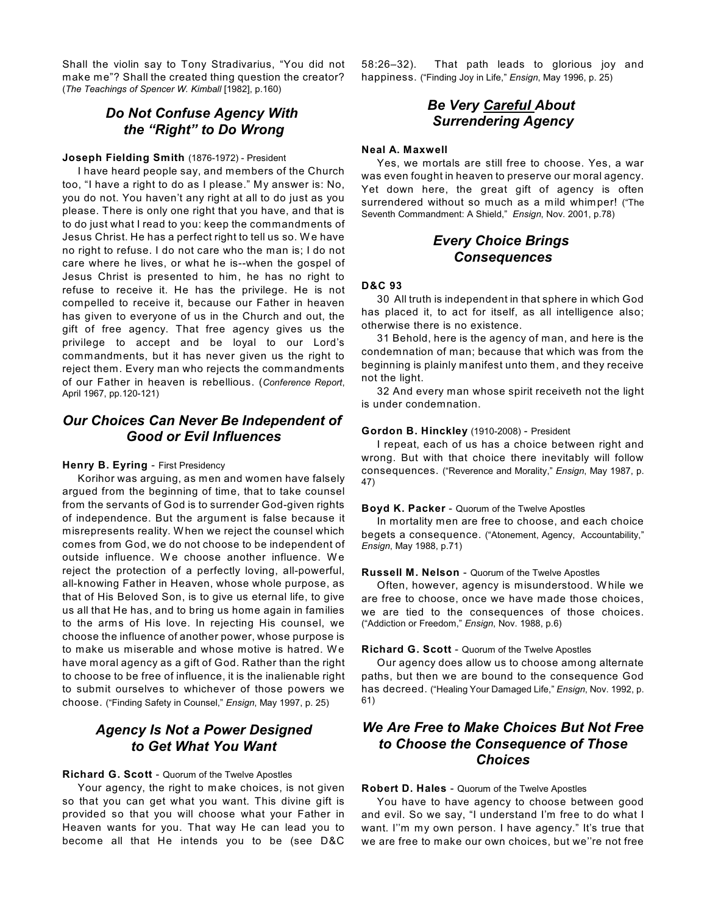Shall the violin say to Tony Stradivarius, "You did not make me"? Shall the created thing question the creator? (*The Teachings of Spencer W. Kimball* [1982], p.160)

# *Do Not Confuse Agency With the "Right" to Do Wrong*

### **Joseph Fielding Smith** (1876-1972) - President

I have heard people say, and members of the Church too, "I have a right to do as I please." My answer is: No, you do not. You haven't any right at all to do just as you please. There is only one right that you have, and that is to do just what I read to you: keep the commandments of Jesus Christ. He has a perfect right to tell us so. W e have no right to refuse. I do not care who the man is; I do not care where he lives, or what he is--when the gospel of Jesus Christ is presented to him, he has no right to refuse to receive it. He has the privilege. He is not compelled to receive it, because our Father in heaven has given to everyone of us in the Church and out, the gift of free agency. That free agency gives us the privilege to accept and be loyal to our Lord's commandments, but it has never given us the right to reject them. Every man who rejects the commandments of our Father in heaven is rebellious. (*Conference Report*, April 1967, pp.120-121)

# *Our Choices Can Never Be Independent of Good or Evil Influences*

### **Henry B. Eyring** - First Presidency

Korihor was arguing, as men and women have falsely argued from the beginning of time, that to take counsel from the servants of God is to surrender God-given rights of independence. But the argument is false because it misrepresents reality. W hen we reject the counsel which comes from God, we do not choose to be independent of outside influence. We choose another influence. We reject the protection of a perfectly loving, all-powerful, all-knowing Father in Heaven, whose whole purpose, as that of His Beloved Son, is to give us eternal life, to give us all that He has, and to bring us home again in families to the arms of His love. In rejecting His counsel, we choose the influence of another power, whose purpose is to make us miserable and whose motive is hatred. We have moral agency as a gift of God. Rather than the right to choose to be free of influence, it is the inalienable right to submit ourselves to whichever of those powers we choose. ("Finding Safety in Counsel," *Ensign*, May 1997, p. 25)

# *Agency Is Not a Power Designed to Get What You Want*

### **Richard G. Scott** - Quorum of the Twelve Apostles

Your agency, the right to make choices, is not given so that you can get what you want. This divine gift is provided so that you will choose what your Father in Heaven wants for you. That way He can lead you to become all that He intends you to be (see D&C

58:26–32). That path leads to glorious joy and happiness. ("Finding Joy in Life," *Ensign*, May 1996, p. 25)

# *Be Very Careful About Surrendering Agency*

### **Neal A. Maxwell**

Yes, we mortals are still free to choose. Yes, a war was even fought in heaven to preserve our moral agency. Yet down here, the great gift of agency is often surrendered without so much as a mild whimper! ("The Seventh Commandment: A Shield," *Ensign*, Nov. 2001, p.78)

# *Every Choice Brings Consequences*

### **D&C 93**

30 All truth is independent in that sphere in which God has placed it, to act for itself, as all intelligence also; otherwise there is no existence.

31 Behold, here is the agency of man, and here is the condemnation of man; because that which was from the beginning is plainly manifest unto them, and they receive not the light.

32 And every man whose spirit receiveth not the light is under condemnation.

#### **Gordon B. Hinckley** (1910-2008) - President

I repeat, each of us has a choice between right and wrong. But with that choice there inevitably will follow consequences. ("Reverence and Morality," *Ensign*, May 1987, p. 47)

### **Boyd K. Packer** - Quorum of the Twelve Apostles

In mortality men are free to choose, and each choice begets a consequence. ("Atonement, Agency, Accountability," *Ensign*, May 1988, p.71)

### **Russell M. Nelson** - Quorum of the Twelve Apostles

Often, however, agency is misunderstood. W hile we are free to choose, once we have made those choices, we are tied to the consequences of those choices. ("Addiction or Freedom," *Ensign*, Nov. 1988, p.6)

#### **Richard G. Scott** - Quorum of the Twelve Apostles

Our agency does allow us to choose among alternate paths, but then we are bound to the consequence God has decreed. ("Healing Your Damaged Life," *Ensign*, Nov. 1992, p. 61)

# *We Are Free to Make Choices But Not Free to Choose the Consequence of Those Choices*

### **Robert D. Hales** - Quorum of the Twelve Apostles

You have to have agency to choose between good and evil. So we say, "I understand I'm free to do what I want. I''m my own person. I have agency." It's true that we are free to make our own choices, but we''re not free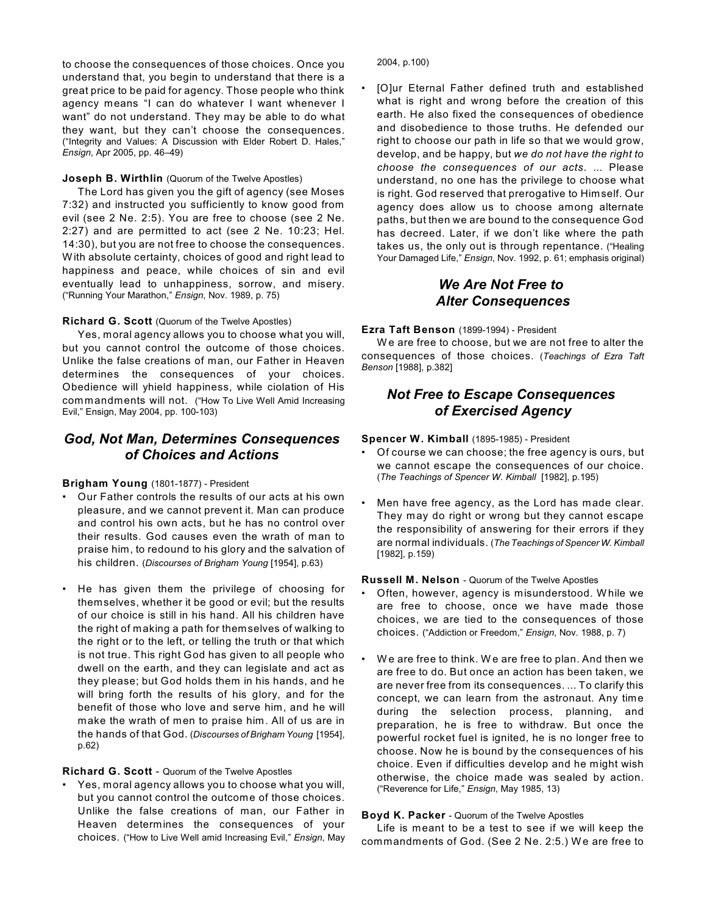to choose the consequences of those choices. Once you understand that, you begin to understand that there is a great price to be paid for agency. Those people who think agency means "I can do whatever I want whenever I want" do not understand. They may be able to do what they want, but they can't choose the consequences. ("Integrity and Values: A Discussion with Elder Robert D. Hales," *Ensign*, Apr 2005, pp. 46–49)

### **Joseph B. Wirthlin** (Quorum of the Twelve Apostles)

The Lord has given you the gift of agency (see Moses 7:32) and instructed you sufficiently to know good from evil (see 2 Ne. 2:5). You are free to choose (see 2 Ne. 2:27) and are permitted to act (see 2 Ne. 10:23; Hel. 14:30), but you are not free to choose the consequences. W ith absolute certainty, choices of good and right lead to happiness and peace, while choices of sin and evil eventually lead to unhappiness, sorrow, and misery. ("Running Your Marathon," *Ensign*, Nov. 1989, p. 75)

### **Richard G. Scott** (Quorum of the Twelve Apostles)

Yes, moral agency allows you to choose what you will, but you cannot control the outcome of those choices. Unlike the false creations of man, our Father in Heaven determines the consequences of your choices. Obedience will yhield happiness, while ciolation of His commandments will not. ("How To Live Well Amid Increasing Evil," Ensign, May 2004, pp. 100-103)

# *God, Not Man, Determines Consequences of Choices and Actions*

### **Brigham Young** (1801-1877) - President

- Our Father controls the results of our acts at his own pleasure, and we cannot prevent it. Man can produce and control his own acts, but he has no control over their results. God causes even the wrath of man to praise him, to redound to his glory and the salvation of his children. (*Discourses of Brigham Young* [1954], p.63)
- He has given them the privilege of choosing for themselves, whether it be good or evil; but the results of our choice is still in his hand. All his children have the right of making a path for themselves of walking to the right or to the left, or telling the truth or that which is not true. This right God has given to all people who dwell on the earth, and they can legislate and act as they please; but God holds them in his hands, and he will bring forth the results of his glory, and for the benefit of those who love and serve him, and he will make the wrath of men to praise him. All of us are in the hands of that God. (*Discourses of Brigham Young* [1954], p.62)

### **Richard G. Scott** - Quorum of the Twelve Apostles

• Yes, moral agency allows you to choose what you will, but you cannot control the outcome of those choices. Unlike the false creations of man, our Father in Heaven determines the consequences of your choices. ("How to Live Well amid Increasing Evil," *Ensign*, May 2004, p.100)

[O]ur Eternal Father defined truth and established what is right and wrong before the creation of this earth. He also fixed the consequences of obedience and disobedience to those truths. He defended our right to choose our path in life so that we would grow, develop, and be happy, but *we do not have the right to choose the consequences of our acts*. ... Please understand, no one has the privilege to choose what is right. God reserved that prerogative to Himself. Our agency does allow us to choose among alternate paths, but then we are bound to the consequence God has decreed. Later, if we don't like where the path takes us, the only out is through repentance. ("Healing Your Damaged Life," *Ensign*, Nov. 1992, p. 61; emphasis original)

# *We Are Not Free to Alter Consequences*

### **Ezra Taft Benson** (1899-1994) - President

We are free to choose, but we are not free to alter the consequences of those choices. (*Teachings of Ezra Taft Benson* [1988], p.382]

# *Not Free to Escape Consequences of Exercised Agency*

### **Spencer W. Kimball** (1895-1985) - President

- Of course we can choose; the free agency is ours, but we cannot escape the consequences of our choice. (*The Teachings of Spencer W. Kimball* [1982], p.195)
- Men have free agency, as the Lord has made clear. They may do right or wrong but they cannot escape the responsibility of answering for their errors if they are normal individuals. (*The Teachings of Spencer W. Kimball* [1982], p.159)

### **Russell M. Nelson** - Quorum of the Twelve Apostles

- Often, however, agency is misunderstood. W hile we are free to choose, once we have made those choices, we are tied to the consequences of those choices. ("Addiction or Freedom," *Ensign*, Nov. 1988, p. 7)
- We are free to think. We are free to plan. And then we are free to do. But once an action has been taken, we are never free from its consequences. ... To clarify this concept, we can learn from the astronaut. Any time during the selection process, planning, and preparation, he is free to withdraw. But once the powerful rocket fuel is ignited, he is no longer free to choose. Now he is bound by the consequences of his choice. Even if difficulties develop and he might wish otherwise, the choice made was sealed by action. ("Reverence for Life," *Ensign*, May 1985, 13)

### **Boyd K. Packer** - Quorum of the Twelve Apostles

Life is meant to be a test to see if we will keep the commandments of God. (See 2 Ne. 2:5.) W e are free to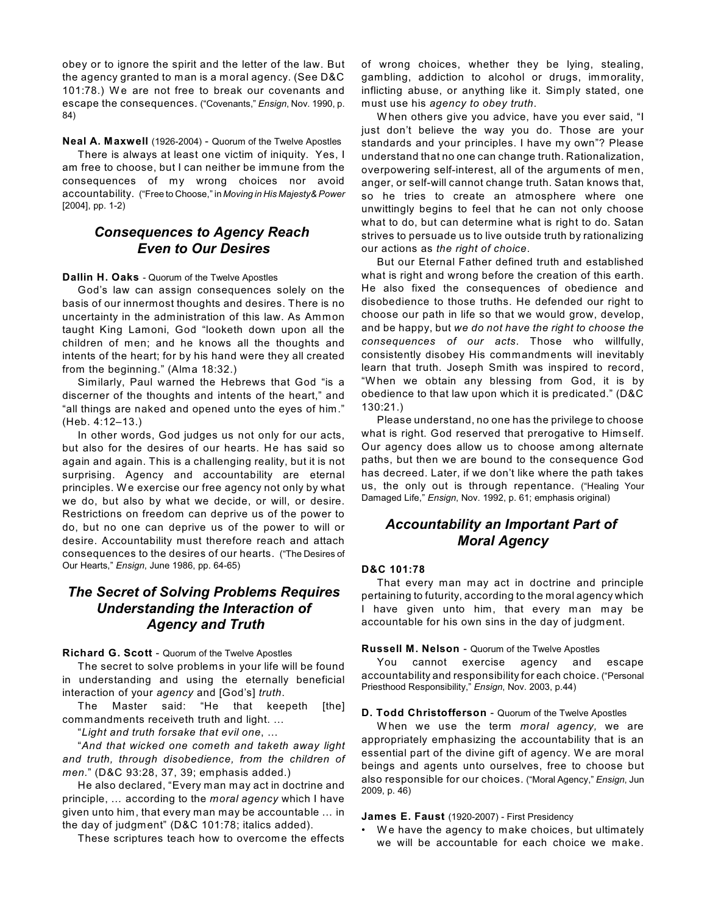obey or to ignore the spirit and the letter of the law. But the agency granted to man is a moral agency. (See D&C 101:78.) W e are not free to break our covenants and escape the consequences. ("Covenants," *Ensign*, Nov. 1990, p. 84)

**Neal A. Maxwell** (1926-2004) - Quorum of the Twelve Apostles

There is always at least one victim of iniquity. Yes, I am free to choose, but I can neither be immune from the consequences of my wrong choices nor avoid accountability. ("Free to Choose," in *Moving in His Majesty& Power* [2004], pp. 1-2)

# *Consequences to Agency Reach Even to Our Desires*

#### **Dallin H. Oaks** - Quorum of the Twelve Apostles

God's law can assign consequences solely on the basis of our innermost thoughts and desires. There is no uncertainty in the administration of this law. As Ammon taught King Lamoni, God "looketh down upon all the children of men; and he knows all the thoughts and intents of the heart; for by his hand were they all created from the beginning." (Alma 18:32.)

Similarly, Paul warned the Hebrews that God "is a discerner of the thoughts and intents of the heart," and "all things are naked and opened unto the eyes of him." (Heb. 4:12–13.)

In other words, God judges us not only for our acts, but also for the desires of our hearts. He has said so again and again. This is a challenging reality, but it is not surprising. Agency and accountability are eternal principles. W e exercise our free agency not only by what we do, but also by what we decide, or will, or desire. Restrictions on freedom can deprive us of the power to do, but no one can deprive us of the power to will or desire. Accountability must therefore reach and attach consequences to the desires of our hearts. ("The Desires of Our Hearts," *Ensign*, June 1986, pp. 64-65)

# *The Secret of Solving Problems Requires Understanding the Interaction of Agency and Truth*

### **Richard G. Scott** - Quorum of the Twelve Apostles

The secret to solve problems in your life will be found in understanding and using the eternally beneficial interaction of your *agency* and [God's] *truth*.

The Master said: "He that keepeth [the] commandments receiveth truth and light. …

"*Light and truth forsake that evil one*, …

"*And that wicked one cometh and taketh away light and truth, through disobedience, from the children of men.*" (D&C 93:28, 37, 39; emphasis added.)

He also declared, "Every man may act in doctrine and principle, … according to the *moral agency* which I have given unto him, that every man may be accountable … in the day of judgment" (D&C 101:78; italics added).

These scriptures teach how to overcome the effects

of wrong choices, whether they be lying, stealing, gambling, addiction to alcohol or drugs, immorality, inflicting abuse, or anything like it. Simply stated, one must use his *agency to obey truth*.

W hen others give you advice, have you ever said, "I just don't believe the way you do. Those are your standards and your principles. I have my own"? Please understand that no one can change truth. Rationalization, overpowering self-interest, all of the arguments of men, anger, or self-will cannot change truth. Satan knows that, so he tries to create an atmosphere where one unwittingly begins to feel that he can not only choose what to do, but can determine what is right to do. Satan strives to persuade us to live outside truth by rationalizing our actions as *the right of choice*.

But our Eternal Father defined truth and established what is right and wrong before the creation of this earth. He also fixed the consequences of obedience and disobedience to those truths. He defended our right to choose our path in life so that we would grow, develop, and be happy, but *we do not have the right to choose the consequences of our acts*. Those who willfully, consistently disobey His commandments will inevitably learn that truth. Joseph Smith was inspired to record, "W hen we obtain any blessing from God, it is by obedience to that law upon which it is predicated." (D&C 130:21.)

Please understand, no one has the privilege to choose what is right. God reserved that prerogative to Himself. Our agency does allow us to choose among alternate paths, but then we are bound to the consequence God has decreed. Later, if we don't like where the path takes us, the only out is through repentance. ("Healing Your Damaged Life," *Ensign*, Nov. 1992, p. 61; emphasis original)

# *Accountability an Important Part of Moral Agency*

### **D&C 101:78**

That every man may act in doctrine and principle pertaining to futurity, according to the moral agency which I have given unto him, that every man may be accountable for his own sins in the day of judgment.

#### **Russell M. Nelson** - Quorum of the Twelve Apostles

You cannot exercise agency and escape accountability and responsibility for each choice. ("Personal Priesthood Responsibility," *Ensign*, Nov. 2003, p.44)

#### **D. Todd Christofferson** - Quorum of the Twelve Apostles

W hen we use the term *moral agency,* we are appropriately emphasizing the accountability that is an essential part of the divine gift of agency. We are moral beings and agents unto ourselves, free to choose but also responsible for our choices. ("Moral Agency," *Ensign*, Jun 2009, p. 46)

#### **James E. Faust** (1920-2007) - First Presidency

• We have the agency to make choices, but ultimately we will be accountable for each choice we make.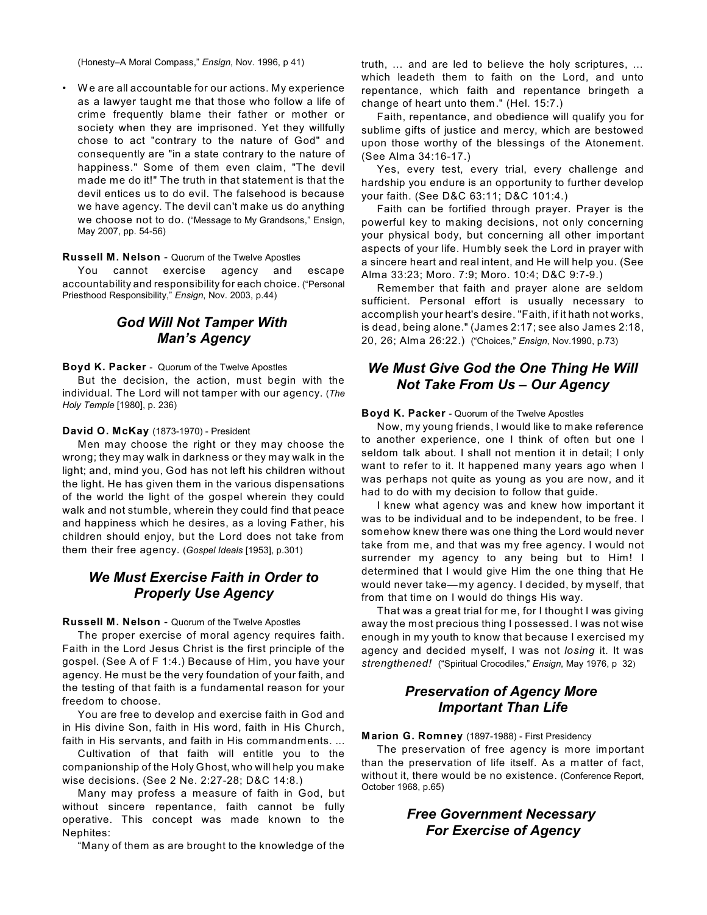(Honesty–A Moral Compass," *Ensign*, Nov. 1996, p 41)

We are all accountable for our actions. My experience as a lawyer taught me that those who follow a life of crime frequently blame their father or mother or society when they are imprisoned. Yet they willfully chose to act "contrary to the nature of God" and consequently are "in a state contrary to the nature of happiness." Some of them even claim, "The devil made me do it!" The truth in that statement is that the devil entices us to do evil. The falsehood is because we have agency. The devil can't make us do anything we choose not to do. ("Message to My Grandsons," Ensign, May 2007, pp. 54-56)

## **Russell M. Nelson** - Quorum of the Twelve Apostles

You cannot exercise agency and escape accountability and responsibility for each choice. ("Personal Priesthood Responsibility," *Ensign*, Nov. 2003, p.44)

# *God Will Not Tamper With Man's Agency*

**Boyd K. Packer** - Quorum of the Twelve Apostles

But the decision, the action, must begin with the individual. The Lord will not tamper with our agency. (*The Holy Temple* [1980], p. 236)

#### **David O. McKay** (1873-1970) - President

Men may choose the right or they may choose the wrong; they may walk in darkness or they may walk in the light; and, mind you, God has not left his children without the light. He has given them in the various dispensations of the world the light of the gospel wherein they could walk and not stumble, wherein they could find that peace and happiness which he desires, as a loving Father, his children should enjoy, but the Lord does not take from them their free agency. (*Gospel Ideals* [1953], p.301)

# *We Must Exercise Faith in Order to Properly Use Agency*

### **Russell M. Nelson** - Quorum of the Twelve Apostles

The proper exercise of moral agency requires faith. Faith in the Lord Jesus Christ is the first principle of the gospel. (See A of F 1:4.) Because of Him, you have your agency. He must be the very foundation of your faith, and the testing of that faith is a fundamental reason for your freedom to choose.

You are free to develop and exercise faith in God and in His divine Son, faith in His word, faith in His Church, faith in His servants, and faith in His commandments. ...

Cultivation of that faith will entitle you to the companionship of the Holy Ghost, who will help you make wise decisions. (See 2 Ne. 2:27-28; D&C 14:8.)

Many may profess a measure of faith in God, but without sincere repentance, faith cannot be fully operative. This concept was made known to the Nephites:

"Many of them as are brought to the knowledge of the

truth, … and are led to believe the holy scriptures, … which leadeth them to faith on the Lord, and unto repentance, which faith and repentance bringeth a change of heart unto them." (Hel. 15:7.)

Faith, repentance, and obedience will qualify you for sublime gifts of justice and mercy, which are bestowed upon those worthy of the blessings of the Atonement. (See Alma 34:16-17.)

Yes, every test, every trial, every challenge and hardship you endure is an opportunity to further develop your faith. (See D&C 63:11; D&C 101:4.)

Faith can be fortified through prayer. Prayer is the powerful key to making decisions, not only concerning your physical body, but concerning all other important aspects of your life. Humbly seek the Lord in prayer with a sincere heart and real intent, and He will help you. (See Alma 33:23; Moro. 7:9; Moro. 10:4; D&C 9:7-9.)

Remember that faith and prayer alone are seldom sufficient. Personal effort is usually necessary to accomplish your heart's desire. "Faith, if it hath not works, is dead, being alone." (James 2:17; see also James 2:18, 20, 26; Alma 26:22.) ("Choices," *Ensign*, Nov.1990, p.73)

# *We Must Give God the One Thing He Will Not Take From Us – Our Agency*

### **Boyd K. Packer** - Quorum of the Twelve Apostles

Now, my young friends, I would like to make reference to another experience, one I think of often but one I seldom talk about. I shall not mention it in detail; I only want to refer to it. It happened many years ago when I was perhaps not quite as young as you are now, and it had to do with my decision to follow that guide.

I knew what agency was and knew how important it was to be individual and to be independent, to be free. I somehow knew there was one thing the Lord would never take from me, and that was my free agency. I would not surrender my agency to any being but to Him! I determined that I would give Him the one thing that He would never take—my agency. I decided, by myself, that from that time on I would do things His way.

That was a great trial for me, for I thought I was giving away the most precious thing I possessed. I was not wise enough in my youth to know that because I exercised my agency and decided myself, I was not *losing* it. It was *strengthened!* ("Spiritual Crocodiles," *Ensign*, May 1976, p 32)

# *Preservation of Agency More Important Than Life*

### **Marion G. Romney** (1897-1988) - First Presidency

The preservation of free agency is more important than the preservation of life itself. As a matter of fact, without it, there would be no existence. (Conference Report, October 1968, p.65)

# *Free Government Necessary For Exercise of Agency*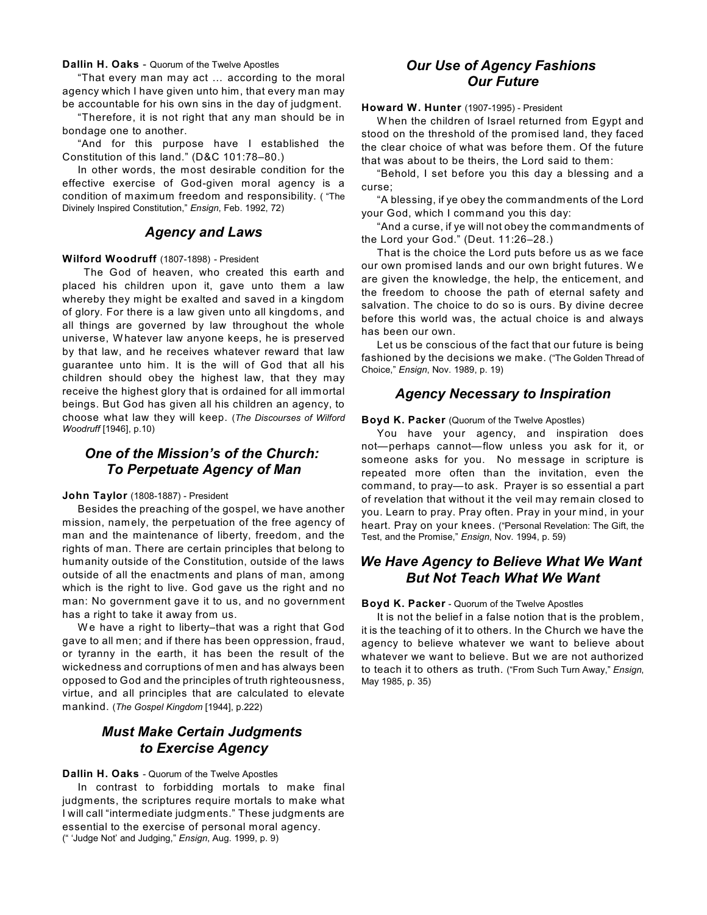### **Dallin H. Oaks** - Quorum of the Twelve Apostles

"That every man may act … according to the moral agency which I have given unto him, that every man may be accountable for his own sins in the day of judgment.

"Therefore, it is not right that any man should be in bondage one to another.

"And for this purpose have I established the Constitution of this land." (D&C 101:78–80.)

In other words, the most desirable condition for the effective exercise of God-given moral agency is a condition of maximum freedom and responsibility. ( "The Divinely Inspired Constitution," *Ensign*, Feb. 1992, 72)

### *Agency and Laws*

### **Wilford Woodruff** (1807-1898) - President

 The God of heaven, who created this earth and placed his children upon it, gave unto them a law whereby they might be exalted and saved in a kingdom of glory. For there is a law given unto all kingdoms, and all things are governed by law throughout the whole universe, W hatever law anyone keeps, he is preserved by that law, and he receives whatever reward that law guarantee unto him. It is the will of God that all his children should obey the highest law, that they may receive the highest glory that is ordained for all immortal beings. But God has given all his children an agency, to choose what law they will keep. (*The Discourses of Wilford Woodruff* [1946], p.10)

# *One of the Mission's of the Church: To Perpetuate Agency of Man*

### **John Taylor** (1808-1887) - President

Besides the preaching of the gospel, we have another mission, namely, the perpetuation of the free agency of man and the maintenance of liberty, freedom, and the rights of man. There are certain principles that belong to humanity outside of the Constitution, outside of the laws outside of all the enactments and plans of man, among which is the right to live. God gave us the right and no man: No government gave it to us, and no government has a right to take it away from us.

W e have a right to liberty–that was a right that God gave to all men; and if there has been oppression, fraud, or tyranny in the earth, it has been the result of the wickedness and corruptions of men and has always been opposed to God and the principles of truth righteousness, virtue, and all principles that are calculated to elevate mankind. (*The Gospel Kingdom* [1944], p.222)

# *Must Make Certain Judgments to Exercise Agency*

### **Dallin H. Oaks** - Quorum of the Twelve Apostles

In contrast to forbidding mortals to make final judgments, the scriptures require mortals to make what I will call "intermediate judgments." These judgments are essential to the exercise of personal moral agency. (" 'Judge Not' and Judging," *Ensign*, Aug. 1999, p. 9)

# *Our Use of Agency Fashions Our Future*

### **Howard W. Hunter** (1907-1995) - President

W hen the children of Israel returned from Egypt and stood on the threshold of the promised land, they faced the clear choice of what was before them. Of the future that was about to be theirs, the Lord said to them:

"Behold, I set before you this day a blessing and a curse;

"A blessing, if ye obey the commandments of the Lord your God, which I command you this day:

"And a curse, if ye will not obey the commandments of the Lord your God." (Deut. 11:26–28.)

That is the choice the Lord puts before us as we face our own promised lands and our own bright futures. We are given the knowledge, the help, the enticement, and the freedom to choose the path of eternal safety and salvation. The choice to do so is ours. By divine decree before this world was, the actual choice is and always has been our own.

Let us be conscious of the fact that our future is being fashioned by the decisions we make. ("The Golden Thread of Choice," *Ensign*, Nov. 1989, p. 19)

# *Agency Necessary to Inspiration*

#### **Boyd K. Packer** (Quorum of the Twelve Apostles)

You have your agency, and inspiration does not—perhaps cannot—flow unless you ask for it, or someone asks for you. No message in scripture is repeated more often than the invitation, even the command, to pray—to ask. Prayer is so essential a part of revelation that without it the veil may remain closed to you. Learn to pray. Pray often. Pray in your mind, in your heart. Pray on your knees. ("Personal Revelation: The Gift, the Test, and the Promise," *Ensign*, Nov. 1994, p. 59)

# *We Have Agency to Believe What We Want But Not Teach What We Want*

#### **Boyd K. Packer** - Quorum of the Twelve Apostles

It is not the belief in a false notion that is the problem, it is the teaching of it to others. In the Church we have the agency to believe whatever we want to believe about whatever we want to believe. But we are not authorized to teach it to others as truth. ("From Such Turn Away," *Ensign*, May 1985, p. 35)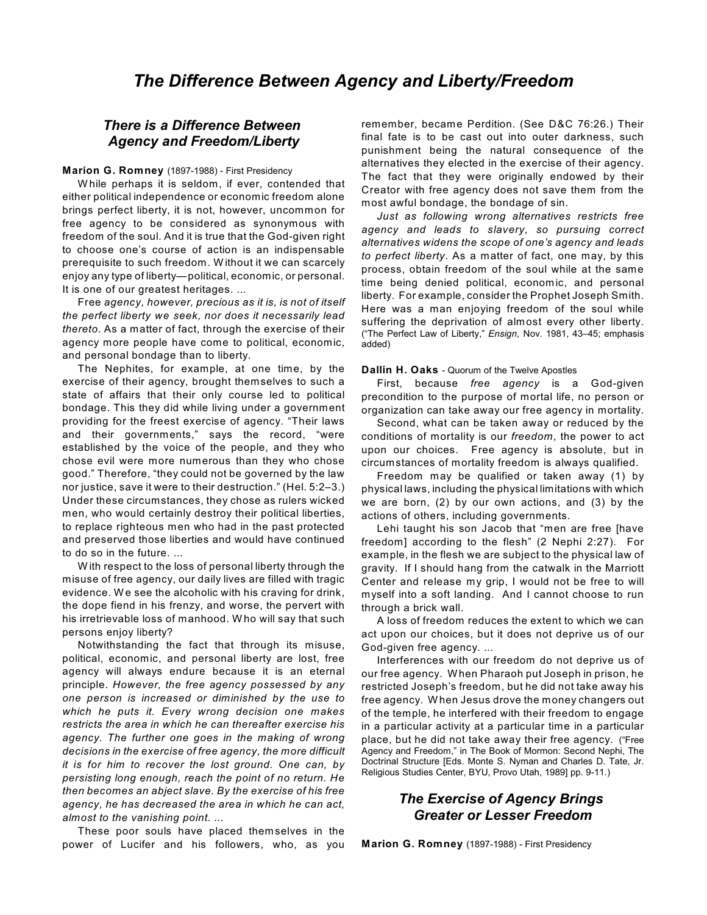# *There is a Difference Between Agency and Freedom/Liberty*

### **Marion G. Romney** (1897-1988) - First Presidency

W hile perhaps it is seldom, if ever, contended that either political independence or economic freedom alone brings perfect liberty, it is not, however, uncommon for free agency to be considered as synonymous with freedom of the soul. And it is true that the God-given right to choose one's course of action is an indispensable prerequisite to such freedom. W ithout it we can scarcely enjoy any type of liberty—political, economic, or personal. It is one of our greatest heritages. ...

Free *agency, however, precious as it is, is not of itself the perfect liberty we seek, nor does it necessarily lead thereto*. As a matter of fact, through the exercise of their agency more people have come to political, economic, and personal bondage than to liberty.

The Nephites, for example, at one time, by the exercise of their agency, brought themselves to such a state of affairs that their only course led to political bondage. This they did while living under a government providing for the freest exercise of agency. "Their laws and their governments," says the record, "were established by the voice of the people, and they who chose evil were more numerous than they who chose good." Therefore, "they could not be governed by the law nor justice, save it were to their destruction." (Hel. 5:2–3.) Under these circumstances, they chose as rulers wicked men, who would certainly destroy their political liberties, to replace righteous men who had in the past protected and preserved those liberties and would have continued to do so in the future. ...

W ith respect to the loss of personal liberty through the misuse of free agency, our daily lives are filled with tragic evidence. W e see the alcoholic with his craving for drink, the dope fiend in his frenzy, and worse, the pervert with his irretrievable loss of manhood. W ho will say that such persons enjoy liberty?

Notwithstanding the fact that through its misuse, political, economic, and personal liberty are lost, free agency will always endure because it is an eternal principle. *However, the free agency possessed by any one person is increased or diminished by the use to which he puts it. Every wrong decision one makes restricts the area in which he can thereafter exercise his agency. The further one goes in the making of wrong decisions in the exercise of free agency, the more difficult it is for him to recover the lost ground. One can, by persisting long enough, reach the point of no return. He then becomes an abject slave. By the exercise of his free agency, he has decreased the area in which he can act, almost to the vanishing point*. ...

These poor souls have placed themselves in the power of Lucifer and his followers, who, as you remember, became Perdition. (See D&C 76:26.) Their final fate is to be cast out into outer darkness, such punishment being the natural consequence of the alternatives they elected in the exercise of their agency. The fact that they were originally endowed by their Creator with free agency does not save them from the most awful bondage, the bondage of sin.

*Just as following wrong alternatives restricts free agency and leads to slavery, so pursuing correct alternatives widens the scope of one's agency and leads to perfect liberty*. As a matter of fact, one may, by this process, obtain freedom of the soul while at the same time being denied political, economic, and personal liberty. For example, consider the Prophet Joseph Smith. Here was a man enjoying freedom of the soul while suffering the deprivation of almost every other liberty. ("The Perfect Law of Liberty," *Ensign*, Nov. 1981, 43–45; emphasis added)

### **Dallin H. Oaks** - Quorum of the Twelve Apostles

First, because *free agency* is a God-given precondition to the purpose of mortal life, no person or organization can take away our free agency in mortality.

Second, what can be taken away or reduced by the conditions of mortality is our *freedom*, the power to act upon our choices. Free agency is absolute, but in circumstances of mortality freedom is always qualified.

Freedom may be qualified or taken away (1) by physical laws, including the physical limitations with which we are born, (2) by our own actions, and (3) by the actions of others, including governments.

Lehi taught his son Jacob that "men are free [have freedom] according to the flesh" (2 Nephi 2:27). For example, in the flesh we are subject to the physical law of gravity. If I should hang from the catwalk in the Marriott Center and release my grip, I would not be free to will myself into a soft landing. And I cannot choose to run through a brick wall.

A loss of freedom reduces the extent to which we can act upon our choices, but it does not deprive us of our God-given free agency. ...

Interferences with our freedom do not deprive us of our free agency. When Pharaoh put Joseph in prison, he restricted Joseph's freedom, but he did not take away his free agency. W hen Jesus drove the money changers out of the temple, he interfered with their freedom to engage in a particular activity at a particular time in a particular place, but he did not take away their free agency. ("Free Agency and Freedom," in The Book of Mormon: Second Nephi, The Doctrinal Structure [Eds. Monte S. Nyman and Charles D. Tate, Jr. Religious Studies Center, BYU, Provo Utah, 1989] pp. 9-11.)

# *The Exercise of Agency Brings Greater or Lesser Freedom*

**Marion G. Romney** (1897-1988) - First Presidency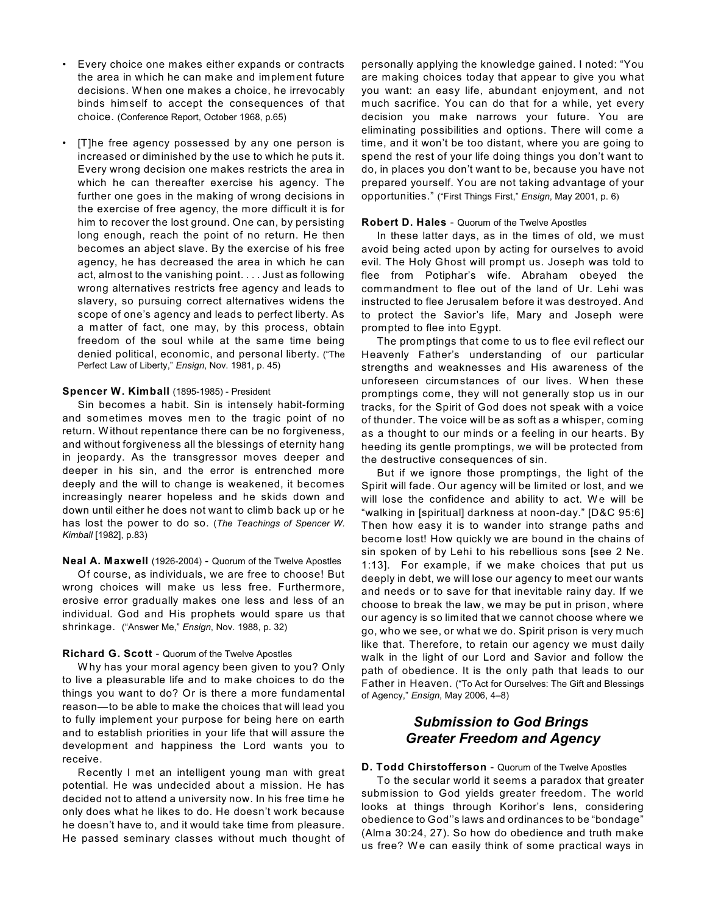- Every choice one makes either expands or contracts the area in which he can make and implement future decisions. W hen one makes a choice, he irrevocably binds himself to accept the consequences of that choice. (Conference Report, October 1968, p.65)
- [T]he free agency possessed by any one person is increased or diminished by the use to which he puts it. Every wrong decision one makes restricts the area in which he can thereafter exercise his agency. The further one goes in the making of wrong decisions in the exercise of free agency, the more difficult it is for him to recover the lost ground. One can, by persisting long enough, reach the point of no return. He then becomes an abject slave. By the exercise of his free agency, he has decreased the area in which he can act, almost to the vanishing point. . . . Just as following wrong alternatives restricts free agency and leads to slavery, so pursuing correct alternatives widens the scope of one's agency and leads to perfect liberty. As a matter of fact, one may, by this process, obtain freedom of the soul while at the same time being denied political, economic, and personal liberty. ("The Perfect Law of Liberty," *Ensign*, Nov. 1981, p. 45)

#### **Spencer W. Kimball** (1895-1985) - President

Sin becomes a habit. Sin is intensely habit-forming and sometimes moves men to the tragic point of no return. W ithout repentance there can be no forgiveness, and without forgiveness all the blessings of eternity hang in jeopardy. As the transgressor moves deeper and deeper in his sin, and the error is entrenched more deeply and the will to change is weakened, it becomes increasingly nearer hopeless and he skids down and down until either he does not want to climb back up or he has lost the power to do so. (*The Teachings of Spencer W. Kimball* [1982], p.83)

**Neal A. Maxwell** (1926-2004) - Quorum of the Twelve Apostles Of course, as individuals, we are free to choose! But wrong choices will make us less free. Furthermore, erosive error gradually makes one less and less of an individual. God and His prophets would spare us that shrinkage. ("Answer Me," *Ensign*, Nov. 1988, p. 32)

#### **Richard G. Scott** - Quorum of the Twelve Apostles

W hy has your moral agency been given to you? Only to live a pleasurable life and to make choices to do the things you want to do? Or is there a more fundamental reason—to be able to make the choices that will lead you to fully implement your purpose for being here on earth and to establish priorities in your life that will assure the development and happiness the Lord wants you to receive.

Recently I met an intelligent young man with great potential. He was undecided about a mission. He has decided not to attend a university now. In his free time he only does what he likes to do. He doesn't work because he doesn't have to, and it would take time from pleasure. He passed seminary classes without much thought of personally applying the knowledge gained. I noted: "You are making choices today that appear to give you what you want: an easy life, abundant enjoyment, and not much sacrifice. You can do that for a while, yet every decision you make narrows your future. You are eliminating possibilities and options. There will come a time, and it won't be too distant, where you are going to spend the rest of your life doing things you don't want to do, in places you don't want to be, because you have not prepared yourself. You are not taking advantage of your opportunities." ("First Things First," *Ensign*, May 2001, p. 6)

### **Robert D. Hales** - Quorum of the Twelve Apostles

In these latter days, as in the times of old, we must avoid being acted upon by acting for ourselves to avoid evil. The Holy Ghost will prompt us. Joseph was told to flee from Potiphar's wife. Abraham obeyed the commandment to flee out of the land of Ur. Lehi was instructed to flee Jerusalem before it was destroyed. And to protect the Savior's life, Mary and Joseph were prompted to flee into Egypt.

The promptings that come to us to flee evil reflect our Heavenly Father's understanding of our particular strengths and weaknesses and His awareness of the unforeseen circumstances of our lives. W hen these promptings come, they will not generally stop us in our tracks, for the Spirit of God does not speak with a voice of thunder. The voice will be as soft as a whisper, coming as a thought to our minds or a feeling in our hearts. By heeding its gentle promptings, we will be protected from the destructive consequences of sin.

But if we ignore those promptings, the light of the Spirit will fade. Our agency will be limited or lost, and we will lose the confidence and ability to act. We will be "walking in [spiritual] darkness at noon-day." [D&C 95:6] Then how easy it is to wander into strange paths and become lost! How quickly we are bound in the chains of sin spoken of by Lehi to his rebellious sons [see 2 Ne. 1:13]. For example, if we make choices that put us deeply in debt, we will lose our agency to meet our wants and needs or to save for that inevitable rainy day. If we choose to break the law, we may be put in prison, where our agency is so limited that we cannot choose where we go, who we see, or what we do. Spirit prison is very much like that. Therefore, to retain our agency we must daily walk in the light of our Lord and Savior and follow the path of obedience. It is the only path that leads to our Father in Heaven. ("To Act for Ourselves: The Gift and Blessings of Agency," *Ensign*, May 2006, 4–8)

# *Submission to God Brings Greater Freedom and Agency*

### **D. Todd Chirstofferson** - Quorum of the Twelve Apostles

To the secular world it seems a paradox that greater submission to God yields greater freedom. The world looks at things through Korihor's lens, considering obedience to God''s laws and ordinances to be "bondage" (Alma 30:24, 27). So how do obedience and truth make us free? We can easily think of some practical ways in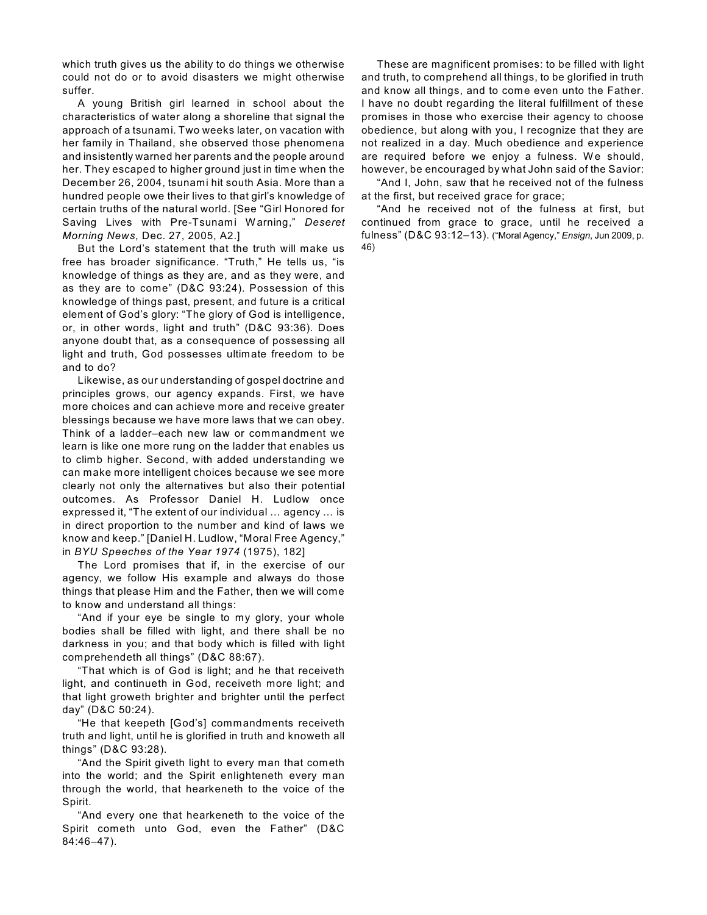which truth gives us the ability to do things we otherwise could not do or to avoid disasters we might otherwise suffer.

A young British girl learned in school about the characteristics of water along a shoreline that signal the approach of a tsunami. Two weeks later, on vacation with her family in Thailand, she observed those phenomena and insistently warned her parents and the people around her. They escaped to higher ground just in time when the December 26, 2004, tsunami hit south Asia. More than a hundred people owe their lives to that girl's knowledge of certain truths of the natural world. [See "Girl Honored for Saving Lives with Pre-Tsunami W arning," *Deseret Morning News,* Dec. 27, 2005, A2.]

But the Lord's statement that the truth will make us free has broader significance. "Truth," He tells us, "is knowledge of things as they are, and as they were, and as they are to come" (D&C 93:24). Possession of this knowledge of things past, present, and future is a critical element of God's glory: "The glory of God is intelligence, or, in other words, light and truth" (D&C 93:36). Does anyone doubt that, as a consequence of possessing all light and truth, God possesses ultimate freedom to be and to do?

Likewise, as our understanding of gospel doctrine and principles grows, our agency expands. First, we have more choices and can achieve more and receive greater blessings because we have more laws that we can obey. Think of a ladder–each new law or commandment we learn is like one more rung on the ladder that enables us to climb higher. Second, with added understanding we can make more intelligent choices because we see more clearly not only the alternatives but also their potential outcomes. As Professor Daniel H. Ludlow once expressed it, "The extent of our individual … agency … is in direct proportion to the number and kind of laws we know and keep." [Daniel H. Ludlow, "Moral Free Agency," in *BYU Speeches of the Year 1974* (1975), 182]

The Lord promises that if, in the exercise of our agency, we follow His example and always do those things that please Him and the Father, then we will come to know and understand all things:

"And if your eye be single to my glory, your whole bodies shall be filled with light, and there shall be no darkness in you; and that body which is filled with light comprehendeth all things" (D&C 88:67).

"That which is of God is light; and he that receiveth light, and continueth in God, receiveth more light; and that light groweth brighter and brighter until the perfect day" (D&C 50:24).

"He that keepeth [God's] commandments receiveth truth and light, until he is glorified in truth and knoweth all things" (D&C 93:28).

"And the Spirit giveth light to every man that cometh into the world; and the Spirit enlighteneth every man through the world, that hearkeneth to the voice of the Spirit.

"And every one that hearkeneth to the voice of the Spirit cometh unto God, even the Father" (D&C 84:46–47).

These are magnificent promises: to be filled with light and truth, to comprehend all things, to be glorified in truth and know all things, and to come even unto the Father. I have no doubt regarding the literal fulfillment of these promises in those who exercise their agency to choose obedience, but along with you, I recognize that they are not realized in a day. Much obedience and experience are required before we enjoy a fulness. We should, however, be encouraged by what John said of the Savior:

"And I, John, saw that he received not of the fulness at the first, but received grace for grace;

"And he received not of the fulness at first, but continued from grace to grace, until he received a fulness" (D&C 93:12–13). ("Moral Agency," *Ensign*, Jun 2009, p. 46)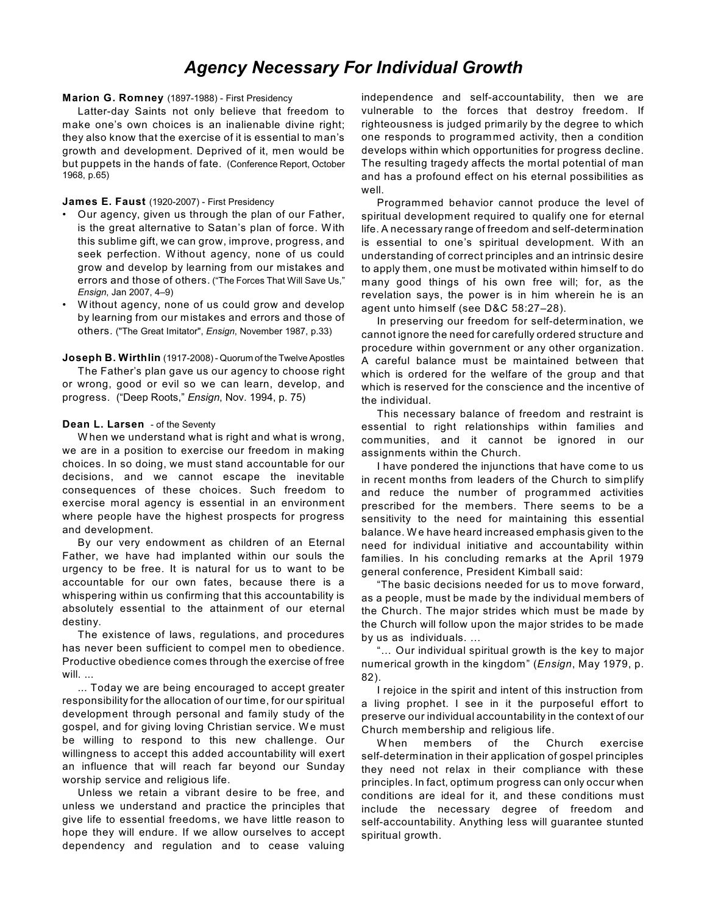# *Agency Necessary For Individual Growth*

### **Marion G. Romney** (1897-1988) - First Presidency

Latter-day Saints not only believe that freedom to make one's own choices is an inalienable divine right; they also know that the exercise of it is essential to man's growth and development. Deprived of it, men would be but puppets in the hands of fate. (Conference Report, October 1968, p.65)

### **James E. Faust** (1920-2007) - First Presidency

- Our agency, given us through the plan of our Father, is the great alternative to Satan's plan of force. With this sublime gift, we can grow, improve, progress, and seek perfection. W ithout agency, none of us could grow and develop by learning from our mistakes and errors and those of others. ("The Forces That Will Save Us," *Ensign*, Jan 2007, 4–9)
- Without agency, none of us could grow and develop by learning from our mistakes and errors and those of others. ("The Great Imitator", *Ensign*, November 1987, p.33)

### **Joseph B. Wirthlin** (1917-2008) - Quorum of the Twelve Apostles

The Father's plan gave us our agency to choose right or wrong, good or evil so we can learn, develop, and progress. ("Deep Roots," *Ensign*, Nov. 1994, p. 75)

### **Dean L. Larsen** - of the Seventy

W hen we understand what is right and what is wrong, we are in a position to exercise our freedom in making choices. In so doing, we must stand accountable for our decisions, and we cannot escape the inevitable consequences of these choices. Such freedom to exercise moral agency is essential in an environment where people have the highest prospects for progress and development.

By our very endowment as children of an Eternal Father, we have had implanted within our souls the urgency to be free. It is natural for us to want to be accountable for our own fates, because there is a whispering within us confirming that this accountability is absolutely essential to the attainment of our eternal destiny.

The existence of laws, regulations, and procedures has never been sufficient to compel men to obedience. Productive obedience comes through the exercise of free will...

... Today we are being encouraged to accept greater responsibility for the allocation of our time, for our spiritual development through personal and family study of the gospel, and for giving loving Christian service. We must be willing to respond to this new challenge. Our willingness to accept this added accountability will exert an influence that will reach far beyond our Sunday worship service and religious life.

Unless we retain a vibrant desire to be free, and unless we understand and practice the principles that give life to essential freedoms, we have little reason to hope they will endure. If we allow ourselves to accept dependency and regulation and to cease valuing

independence and self-accountability, then we are vulnerable to the forces that destroy freedom. If righteousness is judged primarily by the degree to which one responds to programmed activity, then a condition develops within which opportunities for progress decline. The resulting tragedy affects the mortal potential of man and has a profound effect on his eternal possibilities as well.

Programmed behavior cannot produce the level of spiritual development required to qualify one for eternal life. A necessary range of freedom and self-determination is essential to one's spiritual development. W ith an understanding of correct principles and an intrinsic desire to apply them, one must be motivated within himself to do many good things of his own free will; for, as the revelation says, the power is in him wherein he is an agent unto himself (see D&C 58:27–28).

In preserving our freedom for self-determination, we cannot ignore the need for carefully ordered structure and procedure within government or any other organization. A careful balance must be maintained between that which is ordered for the welfare of the group and that which is reserved for the conscience and the incentive of the individual.

This necessary balance of freedom and restraint is essential to right relationships within families and communities, and it cannot be ignored in our assignments within the Church.

I have pondered the injunctions that have come to us in recent months from leaders of the Church to simplify and reduce the number of programmed activities prescribed for the members. There seems to be a sensitivity to the need for maintaining this essential balance. W e have heard increased emphasis given to the need for individual initiative and accountability within families. In his concluding remarks at the April 1979 general conference, President Kimball said:

"The basic decisions needed for us to move forward, as a people, must be made by the individual members of the Church. The major strides which must be made by the Church will follow upon the major strides to be made by us as individuals. …

"… Our individual spiritual growth is the key to major numerical growth in the kingdom" (*Ensign*, May 1979, p. 82).

I rejoice in the spirit and intent of this instruction from a living prophet. I see in it the purposeful effort to preserve our individual accountability in the context of our Church membership and religious life.

When members of the Church exercise self-determination in their application of gospel principles they need not relax in their compliance with these principles. In fact, optimum progress can only occur when conditions are ideal for it, and these conditions must include the necessary degree of freedom and self-accountability. Anything less will guarantee stunted spiritual growth.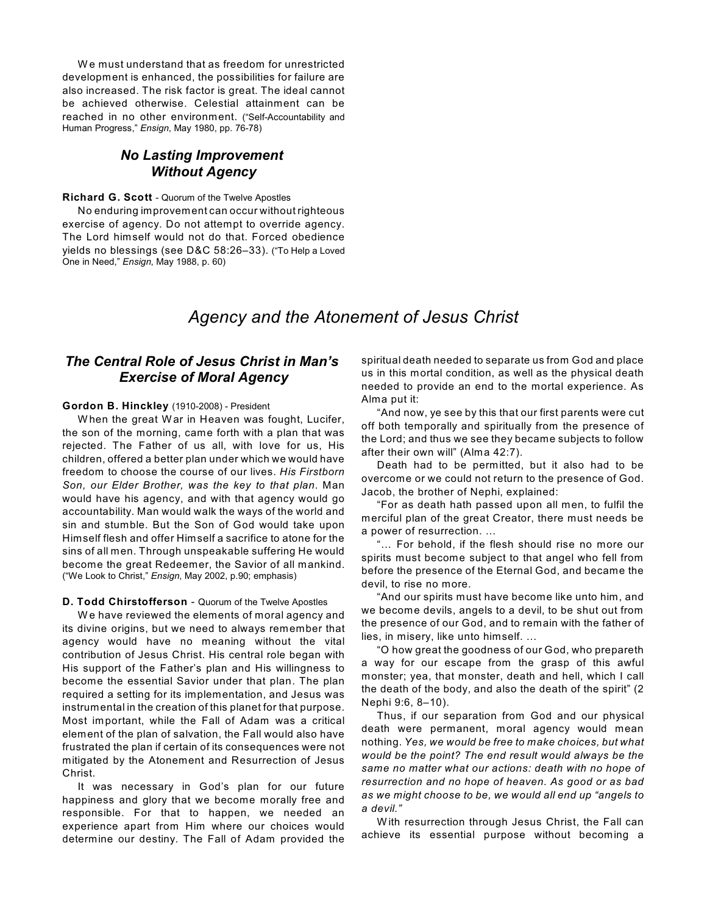W e must understand that as freedom for unrestricted development is enhanced, the possibilities for failure are also increased. The risk factor is great. The ideal cannot be achieved otherwise. Celestial attainment can be reached in no other environment. ("Self-Accountability and Human Progress," *Ensign*, May 1980, pp. 76-78)

# *No Lasting Improvement Without Agency*

**Richard G. Scott** - Quorum of the Twelve Apostles

No enduring improvement can occur without righteous exercise of agency. Do not attempt to override agency. The Lord himself would not do that. Forced obedience yields no blessings (see D&C 58:26–33). ("To Help a Loved One in Need," *Ensign*, May 1988, p. 60)

# *Agency and the Atonement of Jesus Christ*

# *The Central Role of Jesus Christ in Man's Exercise of Moral Agency*

### **Gordon B. Hinckley** (1910-2008) - President

W hen the great W ar in Heaven was fought, Lucifer, the son of the morning, came forth with a plan that was rejected. The Father of us all, with love for us, His children, offered a better plan under which we would have freedom to choose the course of our lives. *His Firstborn Son, our Elder Brother, was the key to that plan*. Man would have his agency, and with that agency would go accountability. Man would walk the ways of the world and sin and stumble. But the Son of God would take upon Himself flesh and offer Himself a sacrifice to atone for the sins of all men. Through unspeakable suffering He would become the great Redeemer, the Savior of all mankind. ("We Look to Christ," *Ensign*, May 2002, p.90; emphasis)

### **D. Todd Chirstofferson** - Quorum of the Twelve Apostles

W e have reviewed the elements of moral agency and its divine origins, but we need to always remember that agency would have no meaning without the vital contribution of Jesus Christ. His central role began with His support of the Father's plan and His willingness to become the essential Savior under that plan. The plan required a setting for its implementation, and Jesus was instrumental in the creation of this planet for that purpose. Most important, while the Fall of Adam was a critical element of the plan of salvation, the Fall would also have frustrated the plan if certain of its consequences were not mitigated by the Atonement and Resurrection of Jesus Christ.

It was necessary in God's plan for our future happiness and glory that we become morally free and responsible. For that to happen, we needed an experience apart from Him where our choices would determine our destiny. The Fall of Adam provided the spiritual death needed to separate us from God and place us in this mortal condition, as well as the physical death needed to provide an end to the mortal experience. As Alma put it:

"And now, ye see by this that our first parents were cut off both temporally and spiritually from the presence of the Lord; and thus we see they became subjects to follow after their own will" (Alma 42:7).

Death had to be permitted, but it also had to be overcome or we could not return to the presence of God. Jacob, the brother of Nephi, explained:

"For as death hath passed upon all men, to fulfil the merciful plan of the great Creator, there must needs be a power of resurrection. …

"… For behold, if the flesh should rise no more our spirits must become subject to that angel who fell from before the presence of the Eternal God, and became the devil, to rise no more.

"And our spirits must have become like unto him, and we become devils, angels to a devil, to be shut out from the presence of our God, and to remain with the father of lies, in misery, like unto himself. …

"O how great the goodness of our God, who prepareth a way for our escape from the grasp of this awful monster; yea, that monster, death and hell, which I call the death of the body, and also the death of the spirit" (2 Nephi 9:6, 8–10).

Thus, if our separation from God and our physical death were permanent, moral agency would mean nothing. *Yes, we would be free to make choices, but what would be the point? The end result would always be the same no matter what our actions: death with no hope of resurrection and no hope of heaven. As good or as bad as we might choose to be, we would all end up "angels to a devil."*

W ith resurrection through Jesus Christ, the Fall can achieve its essential purpose without becoming a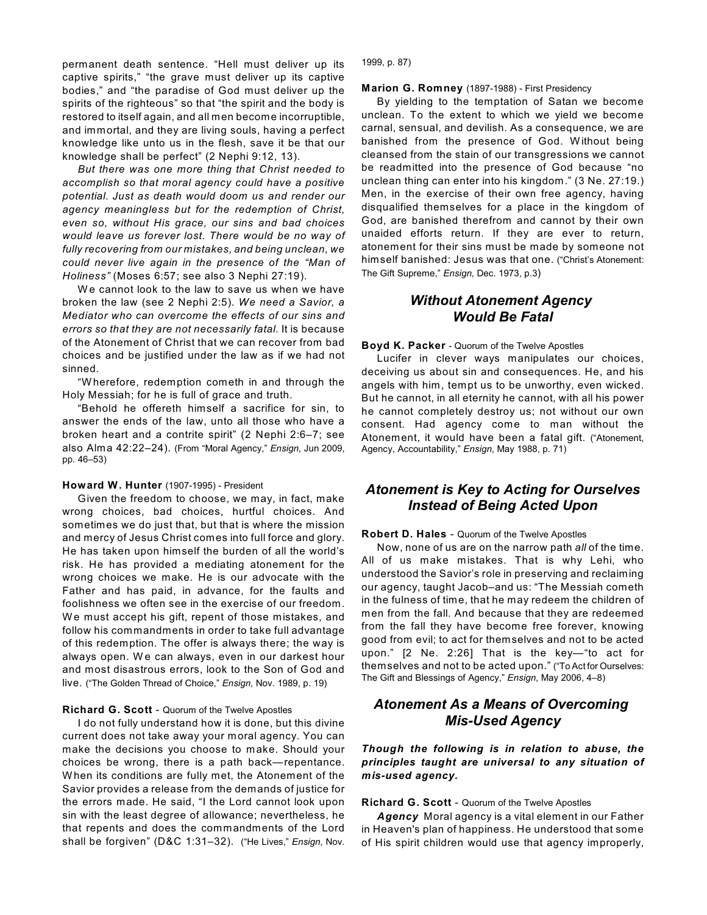permanent death sentence. "Hell must deliver up its captive spirits," "the grave must deliver up its captive bodies," and "the paradise of God must deliver up the spirits of the righteous" so that "the spirit and the body is restored to itself again, and all men become incorruptible, and immortal, and they are living souls, having a perfect knowledge like unto us in the flesh, save it be that our knowledge shall be perfect" (2 Nephi 9:12, 13).

*But there was one more thing that Christ needed to accomplish so that moral agency could have a positive potential*. *Just as death would doom us and render our agency meaningless but for the redemption of Christ, even so, without His grace, our sins and bad choices would leave us forever lost*. *There would be no way of fully recovering from our mistakes, and being unclean, we could never live again in the presence of the "Man of Holiness"* (Moses 6:57; see also 3 Nephi 27:19).

W e cannot look to the law to save us when we have broken the law (see 2 Nephi 2:5). *We need a Savior, a Mediator who can overcome the effects of our sins and errors so that they are not necessarily fatal*. It is because of the Atonement of Christ that we can recover from bad choices and be justified under the law as if we had not sinned.

"W herefore, redemption cometh in and through the Holy Messiah; for he is full of grace and truth.

"Behold he offereth himself a sacrifice for sin, to answer the ends of the law, unto all those who have a broken heart and a contrite spirit" (2 Nephi 2:6–7; see also Alma 42:22–24). (From "Moral Agency," *Ensign*, Jun 2009, pp. 46–53)

### **Howard W. Hunter** (1907-1995) - President

Given the freedom to choose, we may, in fact, make wrong choices, bad choices, hurtful choices. And sometimes we do just that, but that is where the mission and mercy of Jesus Christ comes into full force and glory. He has taken upon himself the burden of all the world's risk. He has provided a mediating atonement for the wrong choices we make. He is our advocate with the Father and has paid, in advance, for the faults and foolishness we often see in the exercise of our freedom. We must accept his gift, repent of those mistakes, and follow his commandments in order to take full advantage of this redemption. The offer is always there; the way is always open. We can always, even in our darkest hour and most disastrous errors, look to the Son of God and live. ("The Golden Thread of Choice," *Ensign*, Nov. 1989, p. 19)

#### **Richard G. Scott** - Quorum of the Twelve Apostles

I do not fully understand how it is done, but this divine current does not take away your moral agency. You can make the decisions you choose to make. Should your choices be wrong, there is a path back—repentance. W hen its conditions are fully met, the Atonement of the Savior provides a release from the demands of justice for the errors made. He said, "I the Lord cannot look upon sin with the least degree of allowance; nevertheless, he that repents and does the commandments of the Lord shall be forgiven" (D&C 1:31–32). ("He Lives," *Ensign*, Nov.

1999, p. 87)

#### **Marion G. Romney** (1897-1988) - First Presidency

By yielding to the temptation of Satan we become unclean. To the extent to which we yield we become carnal, sensual, and devilish. As a consequence, we are banished from the presence of God. W ithout being cleansed from the stain of our transgressions we cannot be readmitted into the presence of God because "no unclean thing can enter into his kingdom." (3 Ne. 27:19.) Men, in the exercise of their own free agency, having disqualified themselves for a place in the kingdom of God, are banished therefrom and cannot by their own unaided efforts return. If they are ever to return, atonement for their sins must be made by someone not himself banished: Jesus was that one. ("Christ's Atonement: The Gift Supreme," *Ensign*, Dec. 1973, p.3)

# *Without Atonement Agency Would Be Fatal*

#### **Boyd K. Packer** - Quorum of the Twelve Apostles

Lucifer in clever ways manipulates our choices, deceiving us about sin and consequences. He, and his angels with him, tempt us to be unworthy, even wicked. But he cannot, in all eternity he cannot, with all his power he cannot completely destroy us; not without our own consent. Had agency come to man without the Atonement, it would have been a fatal gift. ("Atonement, Agency, Accountability," *Ensign*, May 1988, p. 71)

# *Atonement is Key to Acting for Ourselves Instead of Being Acted Upon*

#### **Robert D. Hales** - Quorum of the Twelve Apostles

Now, none of us are on the narrow path *all* of the time. All of us make mistakes. That is why Lehi, who understood the Savior's role in preserving and reclaiming our agency, taught Jacob–and us: "The Messiah cometh in the fulness of time, that he may redeem the children of men from the fall. And because that they are redeemed from the fall they have become free forever, knowing good from evil; to act for themselves and not to be acted upon." [2 Ne. 2:26] That is the key—"to act for themselves and not to be acted upon." ("To Act for Ourselves: The Gift and Blessings of Agency," *Ensign*, May 2006, 4–8)

# *Atonement As a Means of Overcoming Mis-Used Agency*

*Though the following is in relation to abuse, the principles taught are universal to any situation of mis-used agency.*

#### **Richard G. Scott** - Quorum of the Twelve Apostles

*Agency* Moral agency is a vital element in our Father in Heaven's plan of happiness. He understood that some of His spirit children would use that agency improperly,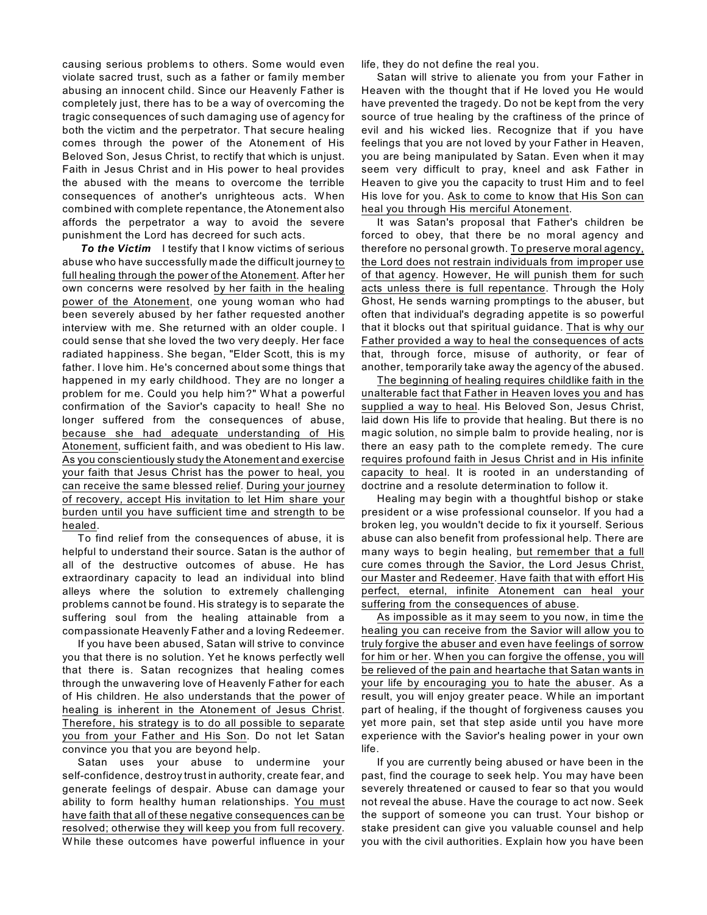causing serious problems to others. Some would even violate sacred trust, such as a father or family member abusing an innocent child. Since our Heavenly Father is completely just, there has to be a way of overcoming the tragic consequences of such damaging use of agency for both the victim and the perpetrator. That secure healing comes through the power of the Atonement of His Beloved Son, Jesus Christ, to rectify that which is unjust. Faith in Jesus Christ and in His power to heal provides the abused with the means to overcome the terrible consequences of another's unrighteous acts. W hen combined with complete repentance, the Atonement also affords the perpetrator a way to avoid the severe punishment the Lord has decreed for such acts.

*To the Victim* I testify that I know victims of serious abuse who have successfully made the difficult journey to full healing through the power of the Atonement. After her own concerns were resolved by her faith in the healing power of the Atonement, one young woman who had been severely abused by her father requested another interview with me. She returned with an older couple. I could sense that she loved the two very deeply. Her face radiated happiness. She began, "Elder Scott, this is my father. I love him. He's concerned about some things that happened in my early childhood. They are no longer a problem for me. Could you help him?" W hat a powerful confirmation of the Savior's capacity to heal! She no longer suffered from the consequences of abuse, because she had adequate understanding of His Atonement, sufficient faith, and was obedient to His law. As you conscientiously study the Atonement and exercise your faith that Jesus Christ has the power to heal, you can receive the same blessed relief. During your journey of recovery, accept His invitation to let Him share your burden until you have sufficient time and strength to be healed.

To find relief from the consequences of abuse, it is helpful to understand their source. Satan is the author of all of the destructive outcomes of abuse. He has extraordinary capacity to lead an individual into blind alleys where the solution to extremely challenging problems cannot be found. His strategy is to separate the suffering soul from the healing attainable from a compassionate Heavenly Father and a loving Redeemer.

If you have been abused, Satan will strive to convince you that there is no solution. Yet he knows perfectly well that there is. Satan recognizes that healing comes through the unwavering love of Heavenly Father for each of His children. He also understands that the power of healing is inherent in the Atonement of Jesus Christ. Therefore, his strategy is to do all possible to separate you from your Father and His Son. Do not let Satan convince you that you are beyond help.

Satan uses your abuse to undermine your self-confidence, destroy trust in authority, create fear, and generate feelings of despair. Abuse can damage your ability to form healthy human relationships. You must have faith that all of these negative consequences can be resolved; otherwise they will keep you from full recovery. W hile these outcomes have powerful influence in your

life, they do not define the real you.

Satan will strive to alienate you from your Father in Heaven with the thought that if He loved you He would have prevented the tragedy. Do not be kept from the very source of true healing by the craftiness of the prince of evil and his wicked lies. Recognize that if you have feelings that you are not loved by your Father in Heaven, you are being manipulated by Satan. Even when it may seem very difficult to pray, kneel and ask Father in Heaven to give you the capacity to trust Him and to feel His love for you. Ask to come to know that His Son can heal you through His merciful Atonement.

It was Satan's proposal that Father's children be forced to obey, that there be no moral agency and therefore no personal growth. To preserve moral agency, the Lord does not restrain individuals from improper use of that agency. However, He will punish them for such acts unless there is full repentance. Through the Holy Ghost, He sends warning promptings to the abuser, but often that individual's degrading appetite is so powerful that it blocks out that spiritual guidance. That is why our Father provided a way to heal the consequences of acts that, through force, misuse of authority, or fear of another, temporarily take away the agency of the abused.

The beginning of healing requires childlike faith in the unalterable fact that Father in Heaven loves you and has supplied a way to heal. His Beloved Son, Jesus Christ, laid down His life to provide that healing. But there is no magic solution, no simple balm to provide healing, nor is there an easy path to the complete remedy. The cure requires profound faith in Jesus Christ and in His infinite capacity to heal. It is rooted in an understanding of doctrine and a resolute determination to follow it.

Healing may begin with a thoughtful bishop or stake president or a wise professional counselor. If you had a broken leg, you wouldn't decide to fix it yourself. Serious abuse can also benefit from professional help. There are many ways to begin healing, but remember that a full cure comes through the Savior, the Lord Jesus Christ, our Master and Redeemer. Have faith that with effort His perfect, eternal, infinite Atonement can heal your suffering from the consequences of abuse.

As impossible as it may seem to you now, in time the healing you can receive from the Savior will allow you to truly forgive the abuser and even have feelings of sorrow for him or her. W hen you can forgive the offense, you will be relieved of the pain and heartache that Satan wants in your life by encouraging you to hate the abuser. As a result, you will enjoy greater peace. W hile an important part of healing, if the thought of forgiveness causes you yet more pain, set that step aside until you have more experience with the Savior's healing power in your own life.

If you are currently being abused or have been in the past, find the courage to seek help. You may have been severely threatened or caused to fear so that you would not reveal the abuse. Have the courage to act now. Seek the support of someone you can trust. Your bishop or stake president can give you valuable counsel and help you with the civil authorities. Explain how you have been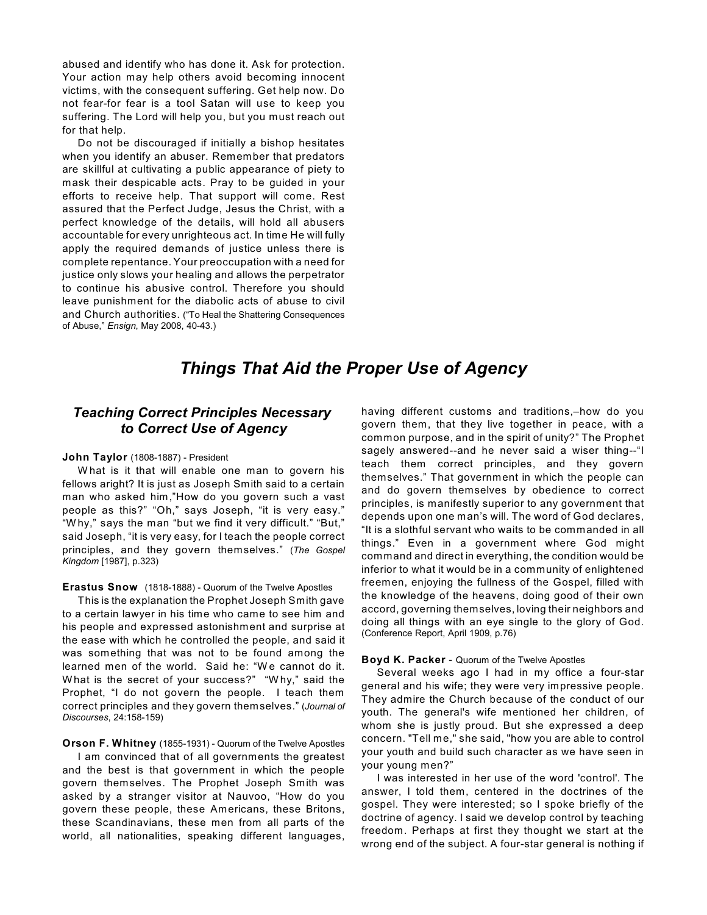abused and identify who has done it. Ask for protection. Your action may help others avoid becoming innocent victims, with the consequent suffering. Get help now. Do not fear-for fear is a tool Satan will use to keep you suffering. The Lord will help you, but you must reach out for that help.

Do not be discouraged if initially a bishop hesitates when you identify an abuser. Remember that predators are skillful at cultivating a public appearance of piety to mask their despicable acts. Pray to be guided in your efforts to receive help. That support will come. Rest assured that the Perfect Judge, Jesus the Christ, with a perfect knowledge of the details, will hold all abusers accountable for every unrighteous act. In time He will fully apply the required demands of justice unless there is complete repentance. Your preoccupation with a need for justice only slows your healing and allows the perpetrator to continue his abusive control. Therefore you should leave punishment for the diabolic acts of abuse to civil and Church authorities. ("To Heal the Shattering Consequences of Abuse," *Ensign*, May 2008, 40-43.)

# *Things That Aid the Proper Use of Agency*

# *Teaching Correct Principles Necessary to Correct Use of Agency*

### **John Taylor** (1808-1887) - President

W hat is it that will enable one man to govern his fellows aright? It is just as Joseph Smith said to a certain man who asked him,"How do you govern such a vast people as this?" "Oh," says Joseph, "it is very easy." "W hy," says the man "but we find it very difficult." "But," said Joseph, "it is very easy, for I teach the people correct principles, and they govern themselves." (*The Gospel Kingdom* [1987], p.323)

#### **Erastus Snow** (1818-1888) - Quorum of the Twelve Apostles

This is the explanation the Prophet Joseph Smith gave to a certain lawyer in his time who came to see him and his people and expressed astonishment and surprise at the ease with which he controlled the people, and said it was something that was not to be found among the learned men of the world. Said he: "We cannot do it. W hat is the secret of your success?" "W hy," said the Prophet, "I do not govern the people. I teach them correct principles and they govern themselves." (*Journal of Discourses*, 24:158-159)

**Orson F. Whitney** (1855-1931) - Quorum of the Twelve Apostles I am convinced that of all governments the greatest and the best is that government in which the people govern themselves. The Prophet Joseph Smith was asked by a stranger visitor at Nauvoo, "How do you govern these people, these Americans, these Britons, these Scandinavians, these men from all parts of the world, all nationalities, speaking different languages,

having different customs and traditions,–how do you govern them, that they live together in peace, with a common purpose, and in the spirit of unity?" The Prophet sagely answered--and he never said a wiser thing--"I teach them correct principles, and they govern themselves." That government in which the people can and do govern themselves by obedience to correct principles, is manifestly superior to any government that depends upon one man's will. The word of God declares, "It is a slothful servant who waits to be commanded in all things." Even in a government where God might command and direct in everything, the condition would be inferior to what it would be in a community of enlightened freemen, enjoying the fullness of the Gospel, filled with the knowledge of the heavens, doing good of their own accord, governing themselves, loving their neighbors and doing all things with an eye single to the glory of God. (Conference Report, April 1909, p.76)

### **Boyd K. Packer** - Quorum of the Twelve Apostles

Several weeks ago I had in my office a four-star general and his wife; they were very impressive people. They admire the Church because of the conduct of our youth. The general's wife mentioned her children, of whom she is justly proud. But she expressed a deep concern. "Tell me," she said, "how you are able to control your youth and build such character as we have seen in your young men?"

I was interested in her use of the word 'control'. The answer, I told them, centered in the doctrines of the gospel. They were interested; so I spoke briefly of the doctrine of agency. I said we develop control by teaching freedom. Perhaps at first they thought we start at the wrong end of the subject. A four-star general is nothing if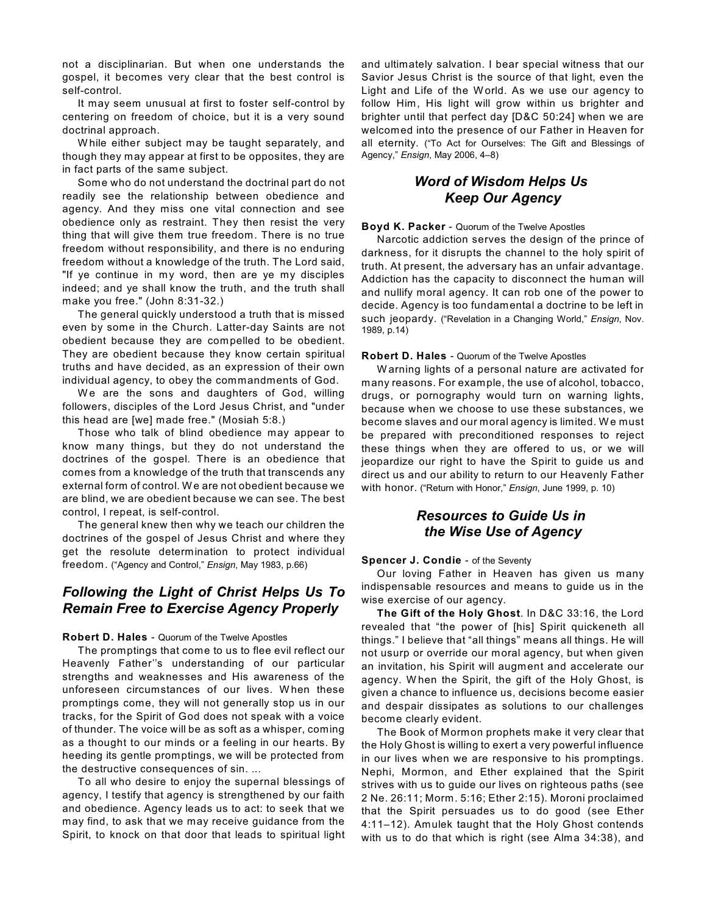not a disciplinarian. But when one understands the gospel, it becomes very clear that the best control is self-control.

It may seem unusual at first to foster self-control by centering on freedom of choice, but it is a very sound doctrinal approach.

W hile either subject may be taught separately, and though they may appear at first to be opposites, they are in fact parts of the same subject.

Some who do not understand the doctrinal part do not readily see the relationship between obedience and agency. And they miss one vital connection and see obedience only as restraint. They then resist the very thing that will give them true freedom. There is no true freedom without responsibility, and there is no enduring freedom without a knowledge of the truth. The Lord said, "If ye continue in my word, then are ye my disciples indeed; and ye shall know the truth, and the truth shall make you free." (John 8:31-32.)

The general quickly understood a truth that is missed even by some in the Church. Latter-day Saints are not obedient because they are compelled to be obedient. They are obedient because they know certain spiritual truths and have decided, as an expression of their own individual agency, to obey the commandments of God.

We are the sons and daughters of God, willing followers, disciples of the Lord Jesus Christ, and "under this head are [we] made free." (Mosiah 5:8.)

Those who talk of blind obedience may appear to know many things, but they do not understand the doctrines of the gospel. There is an obedience that comes from a knowledge of the truth that transcends any external form of control. W e are not obedient because we are blind, we are obedient because we can see. The best control, I repeat, is self-control.

The general knew then why we teach our children the doctrines of the gospel of Jesus Christ and where they get the resolute determination to protect individual freedom. ("Agency and Control," *Ensign*, May 1983, p.66)

# *Following the Light of Christ Helps Us To Remain Free to Exercise Agency Properly*

#### **Robert D. Hales** - Quorum of the Twelve Apostles

The promptings that come to us to flee evil reflect our Heavenly Father''s understanding of our particular strengths and weaknesses and His awareness of the unforeseen circumstances of our lives. W hen these promptings come, they will not generally stop us in our tracks, for the Spirit of God does not speak with a voice of thunder. The voice will be as soft as a whisper, coming as a thought to our minds or a feeling in our hearts. By heeding its gentle promptings, we will be protected from the destructive consequences of sin. ...

To all who desire to enjoy the supernal blessings of agency, I testify that agency is strengthened by our faith and obedience. Agency leads us to act: to seek that we may find, to ask that we may receive guidance from the Spirit, to knock on that door that leads to spiritual light and ultimately salvation. I bear special witness that our Savior Jesus Christ is the source of that light, even the Light and Life of the W orld. As we use our agency to follow Him, His light will grow within us brighter and brighter until that perfect day [D&C 50:24] when we are welcomed into the presence of our Father in Heaven for all eternity. ("To Act for Ourselves: The Gift and Blessings of Agency," *Ensign*, May 2006, 4–8)

# *Word of Wisdom Helps Us Keep Our Agency*

#### **Boyd K. Packer** - Quorum of the Twelve Apostles

Narcotic addiction serves the design of the prince of darkness, for it disrupts the channel to the holy spirit of truth. At present, the adversary has an unfair advantage. Addiction has the capacity to disconnect the human will and nullify moral agency. It can rob one of the power to decide. Agency is too fundamental a doctrine to be left in such jeopardy. ("Revelation in a Changing World," *Ensign*, Nov. 1989, p.14)

#### **Robert D. Hales** - Quorum of the Twelve Apostles

W arning lights of a personal nature are activated for many reasons. For example, the use of alcohol, tobacco, drugs, or pornography would turn on warning lights, because when we choose to use these substances, we become slaves and our moral agency is limited. W e must be prepared with preconditioned responses to reject these things when they are offered to us, or we will jeopardize our right to have the Spirit to guide us and direct us and our ability to return to our Heavenly Father with honor. ("Return with Honor," *Ensign*, June 1999, p. 10)

# *Resources to Guide Us in the Wise Use of Agency*

#### **Spencer J. Condie** - of the Seventy

Our loving Father in Heaven has given us many indispensable resources and means to guide us in the wise exercise of our agency.

**The Gift of the Holy Ghost**. In D&C 33:16, the Lord revealed that "the power of [his] Spirit quickeneth all things." I believe that "all things" means all things. He will not usurp or override our moral agency, but when given an invitation, his Spirit will augment and accelerate our agency. W hen the Spirit, the gift of the Holy Ghost, is given a chance to influence us, decisions become easier and despair dissipates as solutions to our challenges become clearly evident.

The Book of Mormon prophets make it very clear that the Holy Ghost is willing to exert a very powerful influence in our lives when we are responsive to his promptings. Nephi, Mormon, and Ether explained that the Spirit strives with us to guide our lives on righteous paths (see 2 Ne. 26:11; Morm. 5:16; Ether 2:15). Moroni proclaimed that the Spirit persuades us to do good (see Ether 4:11–12). Amulek taught that the Holy Ghost contends with us to do that which is right (see Alma 34:38), and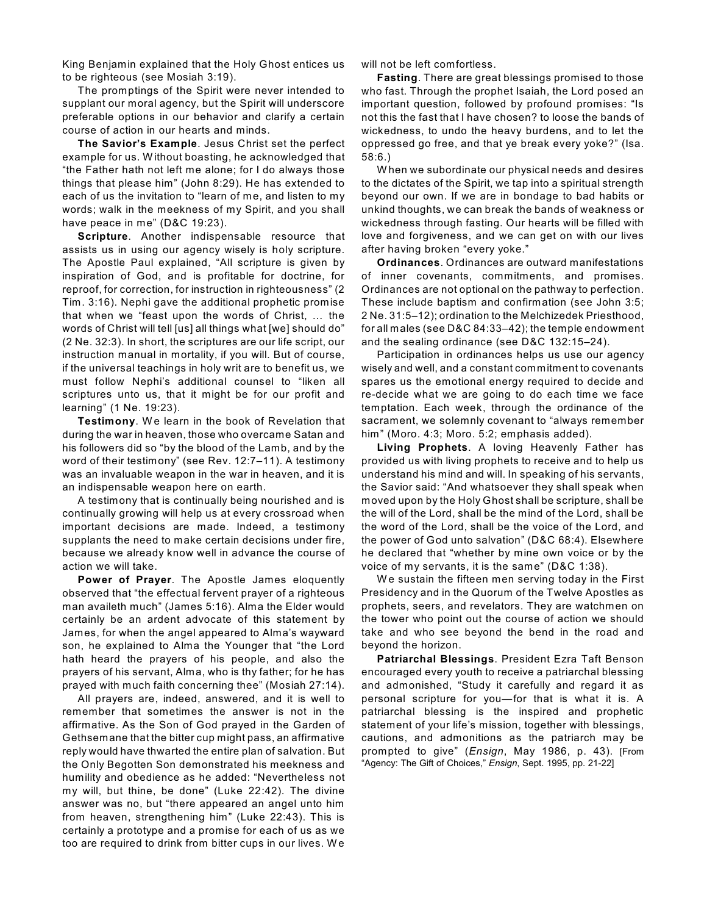King Benjamin explained that the Holy Ghost entices us to be righteous (see Mosiah 3:19).

The promptings of the Spirit were never intended to supplant our moral agency, but the Spirit will underscore preferable options in our behavior and clarify a certain course of action in our hearts and minds.

**The Savior's Example**. Jesus Christ set the perfect example for us. W ithout boasting, he acknowledged that "the Father hath not left me alone; for I do always those things that please him" (John 8:29). He has extended to each of us the invitation to "learn of me, and listen to my words; walk in the meekness of my Spirit, and you shall have peace in me" (D&C 19:23).

**Scripture**. Another indispensable resource that assists us in using our agency wisely is holy scripture. The Apostle Paul explained, "All scripture is given by inspiration of God, and is profitable for doctrine, for reproof, for correction, for instruction in righteousness" (2 Tim. 3:16). Nephi gave the additional prophetic promise that when we "feast upon the words of Christ, … the words of Christ will tell [us] all things what [we] should do" (2 Ne. 32:3). In short, the scriptures are our life script, our instruction manual in mortality, if you will. But of course, if the universal teachings in holy writ are to benefit us, we must follow Nephi's additional counsel to "liken all scriptures unto us, that it might be for our profit and learning" (1 Ne. 19:23).

**Testimony.** We learn in the book of Revelation that during the war in heaven, those who overcame Satan and his followers did so "by the blood of the Lamb, and by the word of their testimony" (see Rev. 12:7–11). A testimony was an invaluable weapon in the war in heaven, and it is an indispensable weapon here on earth.

A testimony that is continually being nourished and is continually growing will help us at every crossroad when important decisions are made. Indeed, a testimony supplants the need to make certain decisions under fire, because we already know well in advance the course of action we will take.

**Power of Prayer**. The Apostle James eloquently observed that "the effectual fervent prayer of a righteous man availeth much" (James 5:16). Alma the Elder would certainly be an ardent advocate of this statement by James, for when the angel appeared to Alma's wayward son, he explained to Alma the Younger that "the Lord hath heard the prayers of his people, and also the prayers of his servant, Alma, who is thy father; for he has prayed with much faith concerning thee" (Mosiah 27:14).

All prayers are, indeed, answered, and it is well to remember that sometimes the answer is not in the affirmative. As the Son of God prayed in the Garden of Gethsemane that the bitter cup might pass, an affirmative reply would have thwarted the entire plan of salvation. But the Only Begotten Son demonstrated his meekness and humility and obedience as he added: "Nevertheless not my will, but thine, be done" (Luke 22:42). The divine answer was no, but "there appeared an angel unto him from heaven, strengthening him" (Luke 22:43). This is certainly a prototype and a promise for each of us as we too are required to drink from bitter cups in our lives. We

will not be left comfortless.

**Fasting**. There are great blessings promised to those who fast. Through the prophet Isaiah, the Lord posed an important question, followed by profound promises: "Is not this the fast that I have chosen? to loose the bands of wickedness, to undo the heavy burdens, and to let the oppressed go free, and that ye break every yoke?" (Isa. 58:6.)

W hen we subordinate our physical needs and desires to the dictates of the Spirit, we tap into a spiritual strength beyond our own. If we are in bondage to bad habits or unkind thoughts, we can break the bands of weakness or wickedness through fasting. Our hearts will be filled with love and forgiveness, and we can get on with our lives after having broken "every yoke."

**Ordinances**. Ordinances are outward manifestations of inner covenants, commitments, and promises. Ordinances are not optional on the pathway to perfection. These include baptism and confirmation (see John 3:5; 2 Ne. 31:5–12); ordination to the Melchizedek Priesthood, for all males (see D&C 84:33–42); the temple endowment and the sealing ordinance (see D&C 132:15–24).

Participation in ordinances helps us use our agency wisely and well, and a constant commitment to covenants spares us the emotional energy required to decide and re-decide what we are going to do each time we face temptation. Each week, through the ordinance of the sacrament, we solemnly covenant to "always remember him" (Moro. 4:3; Moro. 5:2; emphasis added).

**Living Prophets**. A loving Heavenly Father has provided us with living prophets to receive and to help us understand his mind and will. In speaking of his servants, the Savior said: "And whatsoever they shall speak when moved upon by the Holy Ghost shall be scripture, shall be the will of the Lord, shall be the mind of the Lord, shall be the word of the Lord, shall be the voice of the Lord, and the power of God unto salvation" (D&C 68:4). Elsewhere he declared that "whether by mine own voice or by the voice of my servants, it is the same" (D&C 1:38).

We sustain the fifteen men serving today in the First Presidency and in the Quorum of the Twelve Apostles as prophets, seers, and revelators. They are watchmen on the tower who point out the course of action we should take and who see beyond the bend in the road and beyond the horizon.

**Patriarchal Blessings**. President Ezra Taft Benson encouraged every youth to receive a patriarchal blessing and admonished, "Study it carefully and regard it as personal scripture for you—for that is what it is. A patriarchal blessing is the inspired and prophetic statement of your life's mission, together with blessings, cautions, and admonitions as the patriarch may be prompted to give" (*Ensign*, May 1986, p. 43). [From "Agency: The Gift of Choices," *Ensign*, Sept. 1995, pp. 21-22]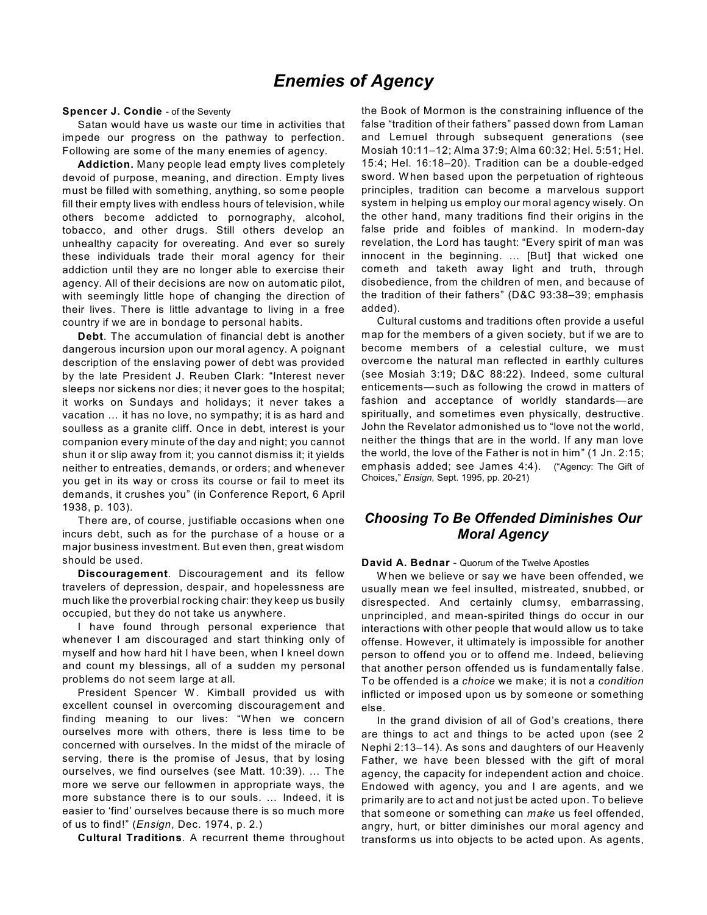#### **Spencer J. Condie** - of the Seventy

Satan would have us waste our time in activities that impede our progress on the pathway to perfection. Following are some of the many enemies of agency.

**Addiction.** Many people lead empty lives completely devoid of purpose, meaning, and direction. Empty lives must be filled with something, anything, so some people fill their empty lives with endless hours of television, while others become addicted to pornography, alcohol, tobacco, and other drugs. Still others develop an unhealthy capacity for overeating. And ever so surely these individuals trade their moral agency for their addiction until they are no longer able to exercise their agency. All of their decisions are now on automatic pilot, with seemingly little hope of changing the direction of their lives. There is little advantage to living in a free country if we are in bondage to personal habits.

**Debt**. The accumulation of financial debt is another dangerous incursion upon our moral agency. A poignant description of the enslaving power of debt was provided by the late President J. Reuben Clark: "Interest never sleeps nor sickens nor dies; it never goes to the hospital; it works on Sundays and holidays; it never takes a vacation … it has no love, no sympathy; it is as hard and soulless as a granite cliff. Once in debt, interest is your companion every minute of the day and night; you cannot shun it or slip away from it; you cannot dismiss it; it yields neither to entreaties, demands, or orders; and whenever you get in its way or cross its course or fail to meet its demands, it crushes you" (in Conference Report, 6 April 1938, p. 103).

There are, of course, justifiable occasions when one incurs debt, such as for the purchase of a house or a major business investment. But even then, great wisdom should be used.

**Discouragement**. Discouragement and its fellow travelers of depression, despair, and hopelessness are much like the proverbial rocking chair: they keep us busily occupied, but they do not take us anywhere.

I have found through personal experience that whenever I am discouraged and start thinking only of myself and how hard hit I have been, when I kneel down and count my blessings, all of a sudden my personal problems do not seem large at all.

President Spencer W. Kimball provided us with excellent counsel in overcoming discouragement and finding meaning to our lives: "When we concern ourselves more with others, there is less time to be concerned with ourselves. In the midst of the miracle of serving, there is the promise of Jesus, that by losing ourselves, we find ourselves (see Matt. 10:39). … The more we serve our fellowmen in appropriate ways, the more substance there is to our souls. … Indeed, it is easier to 'find' ourselves because there is so much more of us to find!" (*Ensign*, Dec. 1974, p. 2.)

**Cultural Traditions**. A recurrent theme throughout

the Book of Mormon is the constraining influence of the false "tradition of their fathers" passed down from Laman and Lemuel through subsequent generations (see Mosiah 10:11–12; Alma 37:9; Alma 60:32; Hel. 5:51; Hel. 15:4; Hel. 16:18–20). Tradition can be a double-edged sword. W hen based upon the perpetuation of righteous principles, tradition can become a marvelous support system in helping us employ our moral agency wisely. On the other hand, many traditions find their origins in the false pride and foibles of mankind. In modern-day revelation, the Lord has taught: "Every spirit of man was innocent in the beginning. … [But] that wicked one cometh and taketh away light and truth, through disobedience, from the children of men, and because of the tradition of their fathers" (D&C 93:38–39; emphasis added).

Cultural customs and traditions often provide a useful map for the members of a given society, but if we are to become members of a celestial culture, we must overcome the natural man reflected in earthly cultures (see Mosiah 3:19; D&C 88:22). Indeed, some cultural enticements—such as following the crowd in matters of fashion and acceptance of worldly standards—are spiritually, and sometimes even physically, destructive. John the Revelator admonished us to "love not the world, neither the things that are in the world. If any man love the world, the love of the Father is not in him" (1 Jn. 2:15; emphasis added; see James 4:4). ("Agency: The Gift of Choices," *Ensign*, Sept. 1995, pp. 20-21)

# *Choosing To Be Offended Diminishes Our Moral Agency*

### **David A. Bednar** - Quorum of the Twelve Apostles

W hen we believe or say we have been offended, we usually mean we feel insulted, mistreated, snubbed, or disrespected. And certainly clumsy, embarrassing, unprincipled, and mean-spirited things do occur in our interactions with other people that would allow us to take offense. However, it ultimately is impossible for another person to offend you or to offend me. Indeed, believing that another person offended us is fundamentally false. To be offended is a *choice* we make; it is not a *condition* inflicted or imposed upon us by someone or something else.

In the grand division of all of God's creations, there are things to act and things to be acted upon (see 2 Nephi 2:13–14). As sons and daughters of our Heavenly Father, we have been blessed with the gift of moral agency, the capacity for independent action and choice. Endowed with agency, you and I are agents, and we primarily are to act and not just be acted upon. To believe that someone or something can *make* us feel offended, angry, hurt, or bitter diminishes our moral agency and transforms us into objects to be acted upon. As agents,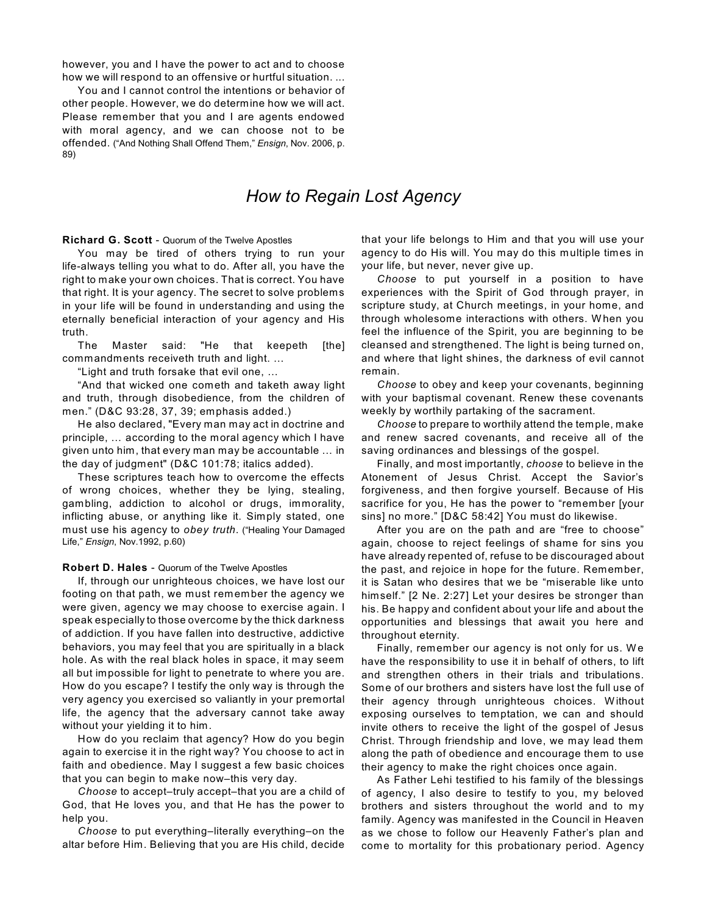however, you and I have the power to act and to choose how we will respond to an offensive or hurtful situation. ...

You and I cannot control the intentions or behavior of other people. However, we do determine how we will act. Please remember that you and I are agents endowed with moral agency, and we can choose not to be offended. ("And Nothing Shall Offend Them," *Ensign*, Nov. 2006, p. 89)

# *How to Regain Lost Agency*

#### **Richard G. Scott** - Quorum of the Twelve Apostles

You may be tired of others trying to run your life-always telling you what to do. After all, you have the right to make your own choices. That is correct. You have that right. It is your agency. The secret to solve problems in your life will be found in understanding and using the eternally beneficial interaction of your agency and His truth.

The Master said: "He that keepeth [the] commandments receiveth truth and light. …

"Light and truth forsake that evil one, …

"And that wicked one cometh and taketh away light and truth, through disobedience, from the children of men." (D&C 93:28, 37, 39; emphasis added.)

He also declared, "Every man may act in doctrine and principle, … according to the moral agency which I have given unto him, that every man may be accountable … in the day of judgment" (D&C 101:78; italics added).

These scriptures teach how to overcome the effects of wrong choices, whether they be lying, stealing, gambling, addiction to alcohol or drugs, immorality, inflicting abuse, or anything like it. Simply stated, one must use his agency to *obey truth*. ("Healing Your Damaged Life," *Ensign*, Nov.1992, p.60)

#### **Robert D. Hales** - Quorum of the Twelve Apostles

If, through our unrighteous choices, we have lost our footing on that path, we must remember the agency we were given, agency we may choose to exercise again. I speak especially to those overcome by the thick darkness of addiction. If you have fallen into destructive, addictive behaviors, you may feel that you are spiritually in a black hole. As with the real black holes in space, it may seem all but impossible for light to penetrate to where you are. How do you escape? I testify the only way is through the very agency you exercised so valiantly in your premortal life, the agency that the adversary cannot take away without your yielding it to him.

How do you reclaim that agency? How do you begin again to exercise it in the right way? You choose to act in faith and obedience. May I suggest a few basic choices that you can begin to make now–this very day.

*Choose* to accept–truly accept–that you are a child of God, that He loves you, and that He has the power to help you.

*Choose* to put everything–literally everything–on the altar before Him. Believing that you are His child, decide that your life belongs to Him and that you will use your agency to do His will. You may do this multiple times in your life, but never, never give up.

*Choose* to put yourself in a position to have experiences with the Spirit of God through prayer, in scripture study, at Church meetings, in your home, and through wholesome interactions with others. W hen you feel the influence of the Spirit, you are beginning to be cleansed and strengthened. The light is being turned on, and where that light shines, the darkness of evil cannot remain.

*Choose* to obey and keep your covenants, beginning with your baptismal covenant. Renew these covenants weekly by worthily partaking of the sacrament.

*Choose* to prepare to worthily attend the temple, make and renew sacred covenants, and receive all of the saving ordinances and blessings of the gospel.

Finally, and most importantly, *choose* to believe in the Atonement of Jesus Christ. Accept the Savior's forgiveness, and then forgive yourself. Because of His sacrifice for you, He has the power to "remember [your sins] no more." [D&C 58:42] You must do likewise.

After you are on the path and are "free to choose" again, choose to reject feelings of shame for sins you have already repented of, refuse to be discouraged about the past, and rejoice in hope for the future. Remember, it is Satan who desires that we be "miserable like unto himself." [2 Ne. 2:27] Let your desires be stronger than his. Be happy and confident about your life and about the opportunities and blessings that await you here and throughout eternity.

Finally, remember our agency is not only for us. We have the responsibility to use it in behalf of others, to lift and strengthen others in their trials and tribulations. Some of our brothers and sisters have lost the full use of their agency through unrighteous choices. W ithout exposing ourselves to temptation, we can and should invite others to receive the light of the gospel of Jesus Christ. Through friendship and love, we may lead them along the path of obedience and encourage them to use their agency to make the right choices once again.

As Father Lehi testified to his family of the blessings of agency, I also desire to testify to you, my beloved brothers and sisters throughout the world and to my family. Agency was manifested in the Council in Heaven as we chose to follow our Heavenly Father's plan and come to mortality for this probationary period. Agency